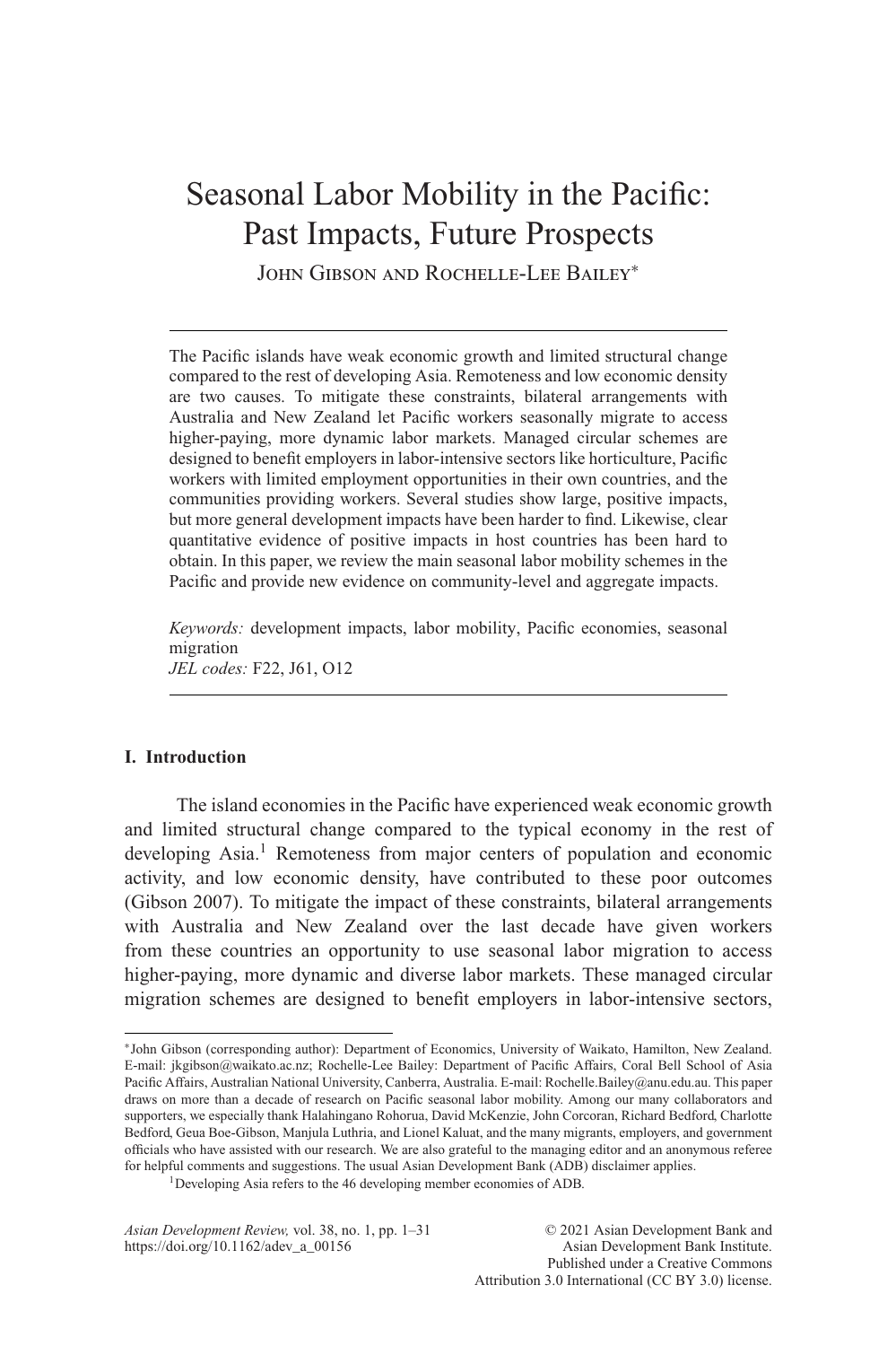# Seasonal Labor Mobility in the Pacific: Past Impacts, Future Prospects

John Gibson and Rochelle-Lee Bailey<sup>∗</sup>

The Pacific islands have weak economic growth and limited structural change compared to the rest of developing Asia. Remoteness and low economic density are two causes. To mitigate these constraints, bilateral arrangements with Australia and New Zealand let Pacific workers seasonally migrate to access higher-paying, more dynamic labor markets. Managed circular schemes are designed to benefit employers in labor-intensive sectors like horticulture, Pacific workers with limited employment opportunities in their own countries, and the communities providing workers. Several studies show large, positive impacts, but more general development impacts have been harder to find. Likewise, clear quantitative evidence of positive impacts in host countries has been hard to obtain. In this paper, we review the main seasonal labor mobility schemes in the Pacific and provide new evidence on community-level and aggregate impacts.

*Keywords:* development impacts, labor mobility, Pacific economies, seasonal migration *JEL codes:* F22, J61, O12

# **I. Introduction**

The island economies in the Pacific have experienced weak economic growth and limited structural change compared to the typical economy in the rest of developing Asia.<sup>1</sup> Remoteness from major centers of population and economic activity, and low economic density, have contributed to these poor outcomes (Gibson 2007). To mitigate the impact of these constraints, bilateral arrangements with Australia and New Zealand over the last decade have given workers from these countries an opportunity to use seasonal labor migration to access higher-paying, more dynamic and diverse labor markets. These managed circular migration schemes are designed to benefit employers in labor-intensive sectors,

<sup>∗</sup>John Gibson (corresponding author): Department of Economics, University of Waikato, Hamilton, New Zealand. E-mail: jkgibson@waikato.ac.nz; Rochelle-Lee Bailey: Department of Pacific Affairs, Coral Bell School of Asia Pacific Affairs, Australian National University, Canberra, Australia. E-mail: Rochelle.Bailey@anu.edu.au. This paper draws on more than a decade of research on Pacific seasonal labor mobility. Among our many collaborators and supporters, we especially thank Halahingano Rohorua, David McKenzie, John Corcoran, Richard Bedford, Charlotte Bedford, Geua Boe-Gibson, Manjula Luthria, and Lionel Kaluat, and the many migrants, employers, and government officials who have assisted with our research. We are also grateful to the managing editor and an anonymous referee for helpful comments and suggestions. The usual Asian Development Bank (ADB) disclaimer applies.

<sup>1</sup>Developing Asia refers to the 46 developing member economies of ADB.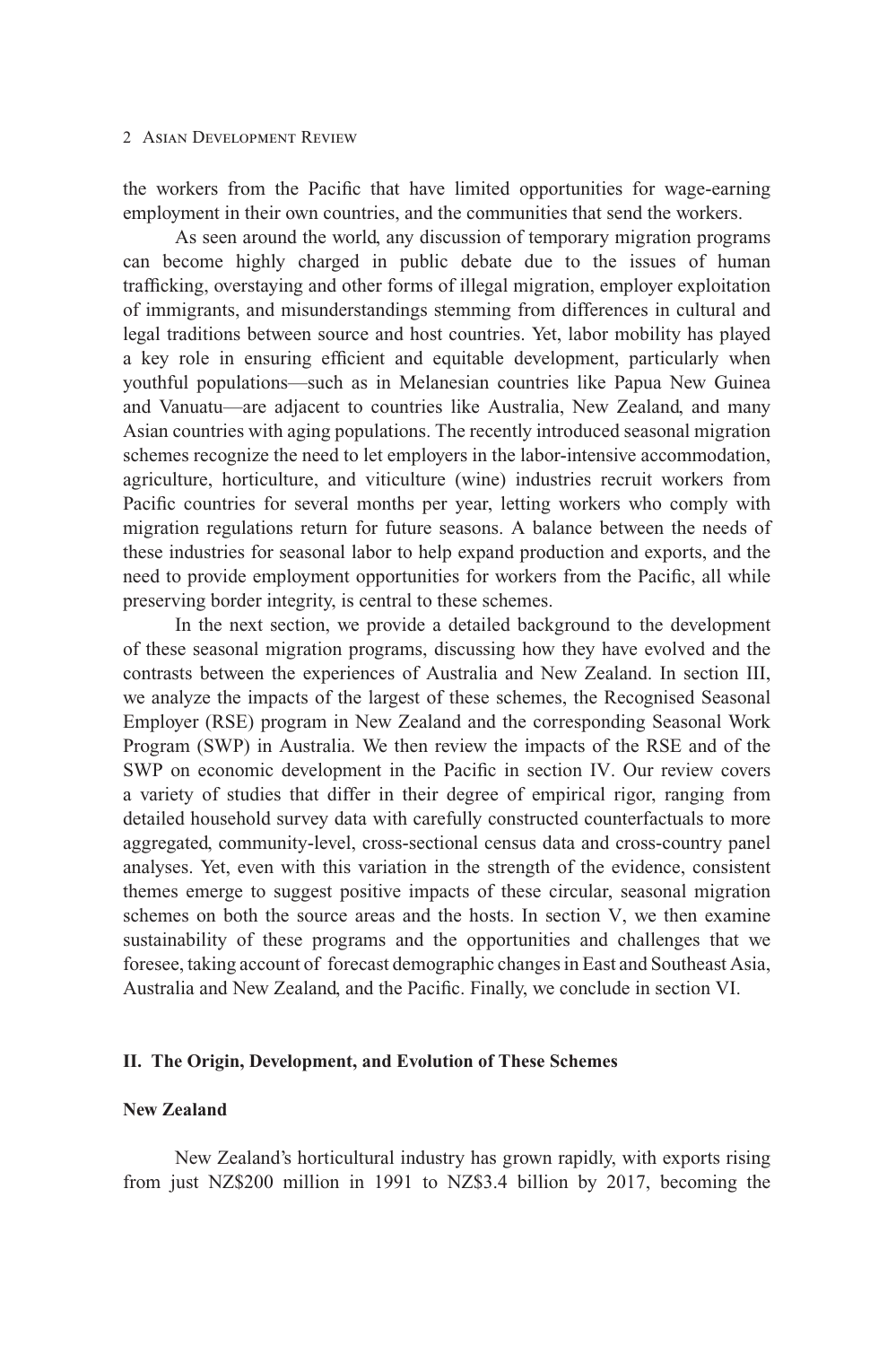the workers from the Pacific that have limited opportunities for wage-earning employment in their own countries, and the communities that send the workers.

As seen around the world, any discussion of temporary migration programs can become highly charged in public debate due to the issues of human trafficking, overstaying and other forms of illegal migration, employer exploitation of immigrants, and misunderstandings stemming from differences in cultural and legal traditions between source and host countries. Yet, labor mobility has played a key role in ensuring efficient and equitable development, particularly when youthful populations—such as in Melanesian countries like Papua New Guinea and Vanuatu—are adjacent to countries like Australia, New Zealand, and many Asian countries with aging populations. The recently introduced seasonal migration schemes recognize the need to let employers in the labor-intensive accommodation, agriculture, horticulture, and viticulture (wine) industries recruit workers from Pacific countries for several months per year, letting workers who comply with migration regulations return for future seasons. A balance between the needs of these industries for seasonal labor to help expand production and exports, and the need to provide employment opportunities for workers from the Pacific, all while preserving border integrity, is central to these schemes.

In the next section, we provide a detailed background to the development of these seasonal migration programs, discussing how they have evolved and the contrasts between the experiences of Australia and New Zealand. In section III, we analyze the impacts of the largest of these schemes, the Recognised Seasonal Employer (RSE) program in New Zealand and the corresponding Seasonal Work Program (SWP) in Australia. We then review the impacts of the RSE and of the SWP on economic development in the Pacific in section IV. Our review covers a variety of studies that differ in their degree of empirical rigor, ranging from detailed household survey data with carefully constructed counterfactuals to more aggregated, community-level, cross-sectional census data and cross-country panel analyses. Yet, even with this variation in the strength of the evidence, consistent themes emerge to suggest positive impacts of these circular, seasonal migration schemes on both the source areas and the hosts. In section V, we then examine sustainability of these programs and the opportunities and challenges that we foresee, taking account of forecast demographic changes in East and Southeast Asia, Australia and New Zealand, and the Pacific. Finally, we conclude in section VI.

## **II. The Origin, Development, and Evolution of These Schemes**

# **New Zealand**

New Zealand's horticultural industry has grown rapidly, with exports rising from just NZ\$200 million in 1991 to NZ\$3.4 billion by 2017, becoming the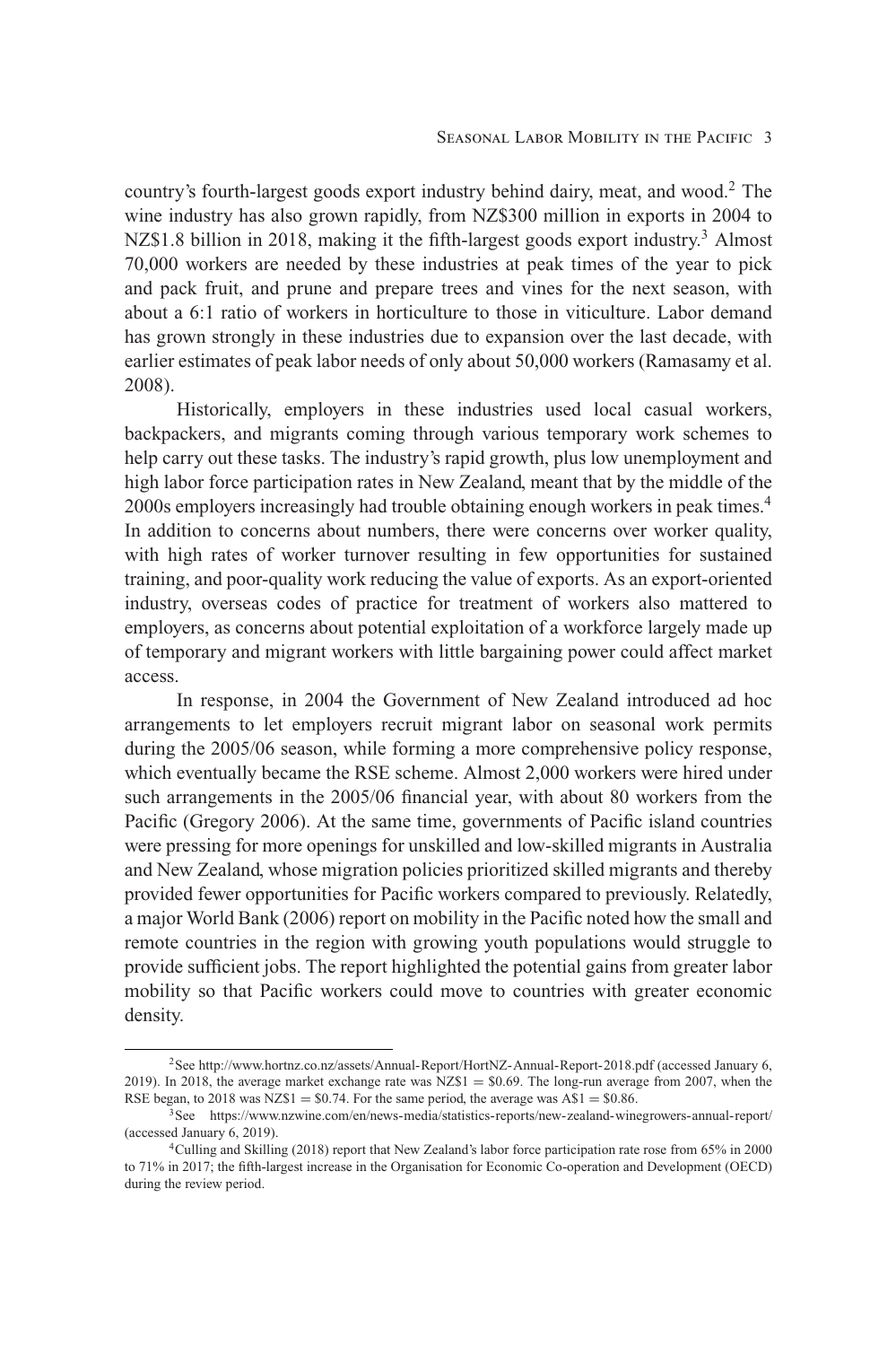country's fourth-largest goods export industry behind dairy, meat, and wood.2 The wine industry has also grown rapidly, from NZ\$300 million in exports in 2004 to NZ\$1.8 billion in 2018, making it the fifth-largest goods export industry.<sup>3</sup> Almost 70,000 workers are needed by these industries at peak times of the year to pick and pack fruit, and prune and prepare trees and vines for the next season, with about a 6:1 ratio of workers in horticulture to those in viticulture. Labor demand has grown strongly in these industries due to expansion over the last decade, with earlier estimates of peak labor needs of only about 50,000 workers (Ramasamy et al. 2008).

Historically, employers in these industries used local casual workers, backpackers, and migrants coming through various temporary work schemes to help carry out these tasks. The industry's rapid growth, plus low unemployment and high labor force participation rates in New Zealand, meant that by the middle of the 2000s employers increasingly had trouble obtaining enough workers in peak times.<sup>4</sup> In addition to concerns about numbers, there were concerns over worker quality, with high rates of worker turnover resulting in few opportunities for sustained training, and poor-quality work reducing the value of exports. As an export-oriented industry, overseas codes of practice for treatment of workers also mattered to employers, as concerns about potential exploitation of a workforce largely made up of temporary and migrant workers with little bargaining power could affect market access.

In response, in 2004 the Government of New Zealand introduced ad hoc arrangements to let employers recruit migrant labor on seasonal work permits during the 2005/06 season, while forming a more comprehensive policy response, which eventually became the RSE scheme. Almost 2,000 workers were hired under such arrangements in the 2005/06 financial year, with about 80 workers from the Pacific (Gregory 2006). At the same time, governments of Pacific island countries were pressing for more openings for unskilled and low-skilled migrants in Australia and New Zealand, whose migration policies prioritized skilled migrants and thereby provided fewer opportunities for Pacific workers compared to previously. Relatedly, a major World Bank (2006) report on mobility in the Pacific noted how the small and remote countries in the region with growing youth populations would struggle to provide sufficient jobs. The report highlighted the potential gains from greater labor mobility so that Pacific workers could move to countries with greater economic density.

<sup>2</sup>See<http://www.hortnz.co.nz/assets/Annual-Report/HortNZ-Annual-Report-2018.pdf> (accessed January 6, 2019). In 2018, the average market exchange rate was  $NZ$1 = $0.69$ . The long-run average from 2007, when the RSE began, to 2018 was  $NZ$1 = $0.74$ . For the same period, the average was  $A$1 = $0.86$ .

 ${}^{3}$ See<https://www.nzwine.com/en/news-media/statistics-reports/new-zealand-winegrowers-annual-report/> (accessed January 6, 2019).

<sup>4</sup>Culling and Skilling (2018) report that New Zealand's labor force participation rate rose from 65% in 2000 to 71% in 2017; the fifth-largest increase in the Organisation for Economic Co-operation and Development (OECD) during the review period.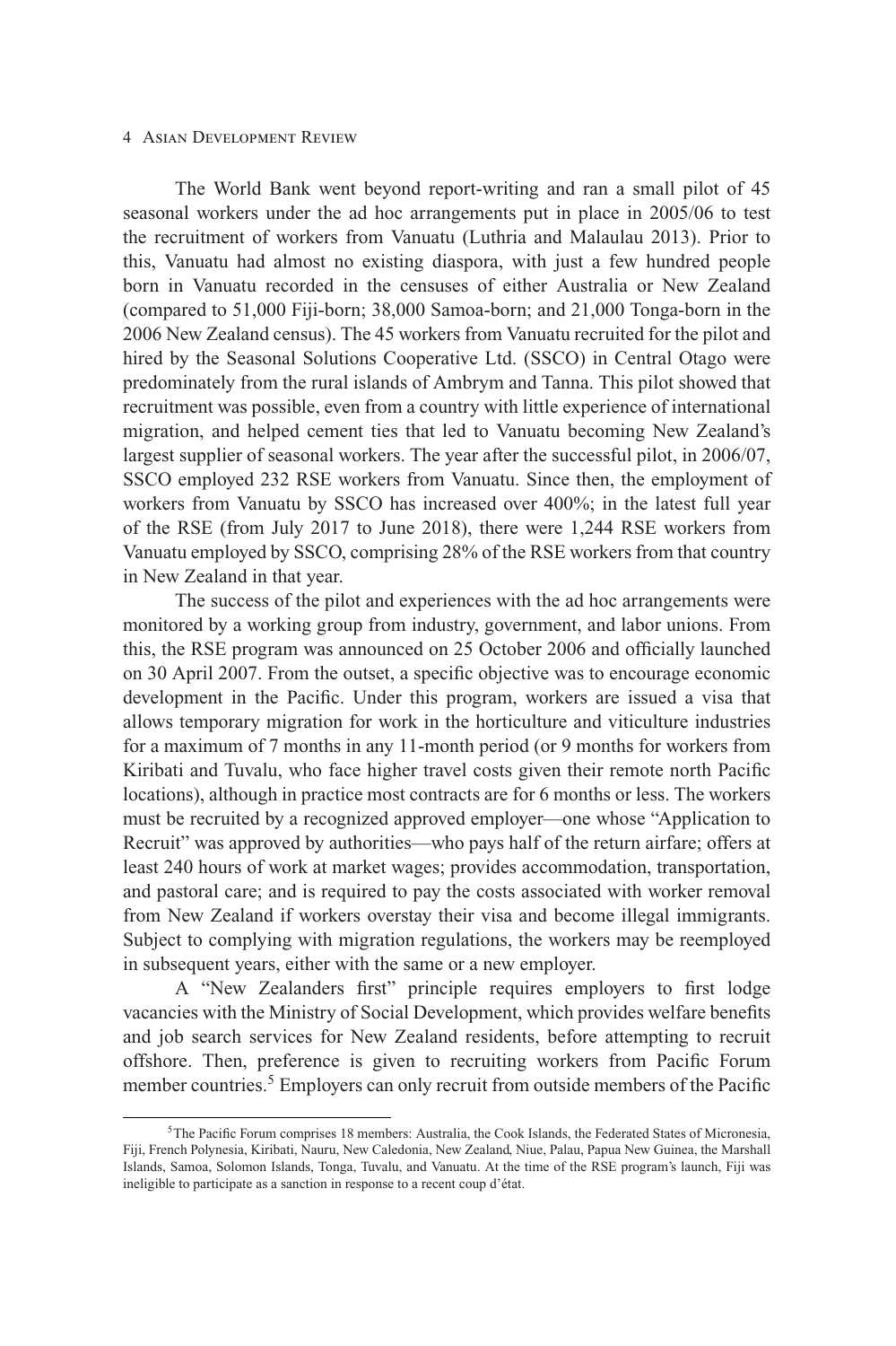The World Bank went beyond report-writing and ran a small pilot of 45 seasonal workers under the ad hoc arrangements put in place in 2005/06 to test the recruitment of workers from Vanuatu (Luthria and Malaulau 2013). Prior to this, Vanuatu had almost no existing diaspora, with just a few hundred people born in Vanuatu recorded in the censuses of either Australia or New Zealand (compared to 51,000 Fiji-born; 38,000 Samoa-born; and 21,000 Tonga-born in the 2006 New Zealand census). The 45 workers from Vanuatu recruited for the pilot and hired by the Seasonal Solutions Cooperative Ltd. (SSCO) in Central Otago were predominately from the rural islands of Ambrym and Tanna. This pilot showed that recruitment was possible, even from a country with little experience of international migration, and helped cement ties that led to Vanuatu becoming New Zealand's largest supplier of seasonal workers. The year after the successful pilot, in 2006/07, SSCO employed 232 RSE workers from Vanuatu. Since then, the employment of workers from Vanuatu by SSCO has increased over 400%; in the latest full year of the RSE (from July 2017 to June 2018), there were 1,244 RSE workers from Vanuatu employed by SSCO, comprising 28% of the RSE workers from that country in New Zealand in that year.

The success of the pilot and experiences with the ad hoc arrangements were monitored by a working group from industry, government, and labor unions. From this, the RSE program was announced on 25 October 2006 and officially launched on 30 April 2007. From the outset, a specific objective was to encourage economic development in the Pacific. Under this program, workers are issued a visa that allows temporary migration for work in the horticulture and viticulture industries for a maximum of 7 months in any 11-month period (or 9 months for workers from Kiribati and Tuvalu, who face higher travel costs given their remote north Pacific locations), although in practice most contracts are for 6 months or less. The workers must be recruited by a recognized approved employer—one whose "Application to Recruit" was approved by authorities—who pays half of the return airfare; offers at least 240 hours of work at market wages; provides accommodation, transportation, and pastoral care; and is required to pay the costs associated with worker removal from New Zealand if workers overstay their visa and become illegal immigrants. Subject to complying with migration regulations, the workers may be reemployed in subsequent years, either with the same or a new employer.

A "New Zealanders first" principle requires employers to first lodge vacancies with the Ministry of Social Development, which provides welfare benefits and job search services for New Zealand residents, before attempting to recruit offshore. Then, preference is given to recruiting workers from Pacific Forum member countries.<sup>5</sup> Employers can only recruit from outside members of the Pacific

<sup>5</sup>The Pacific Forum comprises 18 members: Australia, the Cook Islands, the Federated States of Micronesia, Fiji, French Polynesia, Kiribati, Nauru, New Caledonia, New Zealand, Niue, Palau, Papua New Guinea, the Marshall Islands, Samoa, Solomon Islands, Tonga, Tuvalu, and Vanuatu. At the time of the RSE program's launch, Fiji was ineligible to participate as a sanction in response to a recent coup d'état.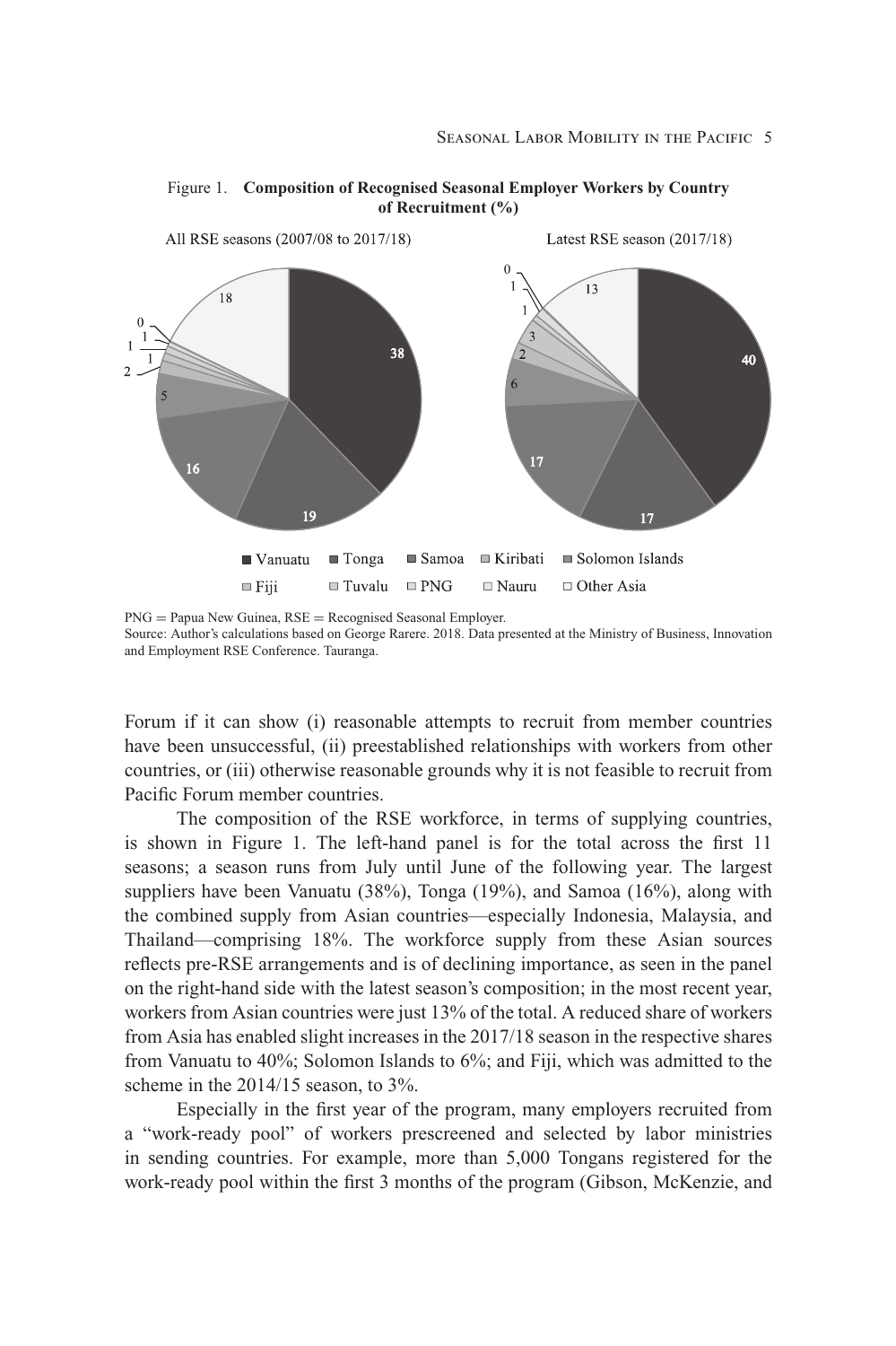

Figure 1. **Composition of Recognised Seasonal Employer Workers by Country of Recruitment (%)**

PNG = Papua New Guinea, RSE = Recognised Seasonal Employer. Source: Author's calculations based on George Rarere. 2018. Data presented at the Ministry of Business, Innovation and Employment RSE Conference. Tauranga.

Forum if it can show (i) reasonable attempts to recruit from member countries have been unsuccessful, (ii) preestablished relationships with workers from other countries, or (iii) otherwise reasonable grounds why it is not feasible to recruit from Pacific Forum member countries.

The composition of the RSE workforce, in terms of supplying countries, is shown in Figure 1. The left-hand panel is for the total across the first 11 seasons; a season runs from July until June of the following year. The largest suppliers have been Vanuatu (38%), Tonga (19%), and Samoa (16%), along with the combined supply from Asian countries—especially Indonesia, Malaysia, and Thailand—comprising 18%. The workforce supply from these Asian sources reflects pre-RSE arrangements and is of declining importance, as seen in the panel on the right-hand side with the latest season's composition; in the most recent year, workers from Asian countries were just 13% of the total. A reduced share of workers from Asia has enabled slight increases in the 2017/18 season in the respective shares from Vanuatu to 40%; Solomon Islands to 6%; and Fiji, which was admitted to the scheme in the 2014/15 season, to 3%.

Especially in the first year of the program, many employers recruited from a "work-ready pool" of workers prescreened and selected by labor ministries in sending countries. For example, more than 5,000 Tongans registered for the work-ready pool within the first 3 months of the program (Gibson, McKenzie, and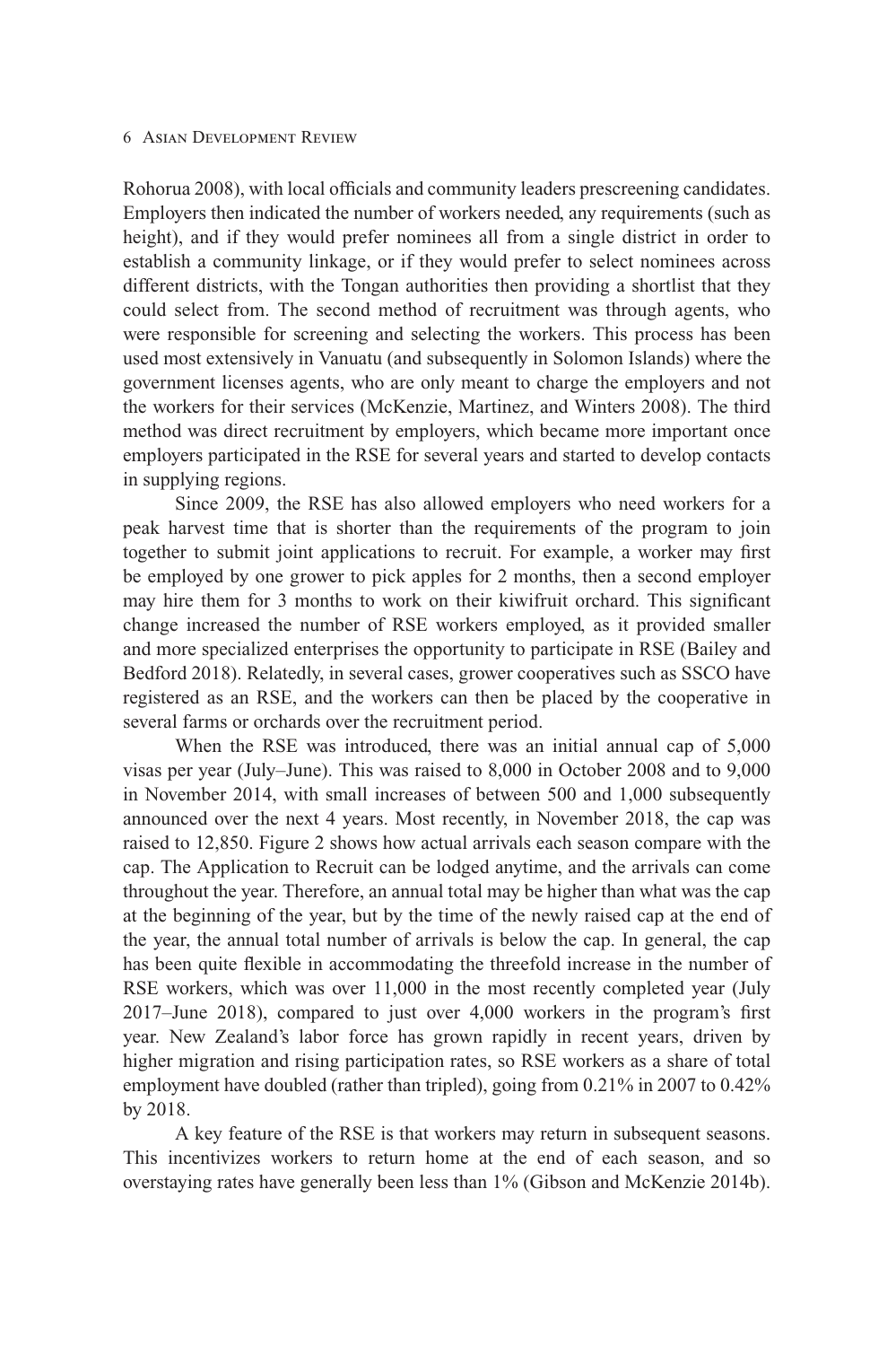Rohorua 2008), with local officials and community leaders prescreening candidates. Employers then indicated the number of workers needed, any requirements (such as height), and if they would prefer nominees all from a single district in order to establish a community linkage, or if they would prefer to select nominees across different districts, with the Tongan authorities then providing a shortlist that they could select from. The second method of recruitment was through agents, who were responsible for screening and selecting the workers. This process has been used most extensively in Vanuatu (and subsequently in Solomon Islands) where the government licenses agents, who are only meant to charge the employers and not the workers for their services (McKenzie, Martinez, and Winters 2008). The third method was direct recruitment by employers, which became more important once employers participated in the RSE for several years and started to develop contacts in supplying regions.

Since 2009, the RSE has also allowed employers who need workers for a peak harvest time that is shorter than the requirements of the program to join together to submit joint applications to recruit. For example, a worker may first be employed by one grower to pick apples for 2 months, then a second employer may hire them for 3 months to work on their kiwifruit orchard. This significant change increased the number of RSE workers employed, as it provided smaller and more specialized enterprises the opportunity to participate in RSE (Bailey and Bedford 2018). Relatedly, in several cases, grower cooperatives such as SSCO have registered as an RSE, and the workers can then be placed by the cooperative in several farms or orchards over the recruitment period.

When the RSE was introduced, there was an initial annual cap of 5,000 visas per year (July–June). This was raised to 8,000 in October 2008 and to 9,000 in November 2014, with small increases of between 500 and 1,000 subsequently announced over the next 4 years. Most recently, in November 2018, the cap was raised to 12,850. Figure 2 shows how actual arrivals each season compare with the cap. The Application to Recruit can be lodged anytime, and the arrivals can come throughout the year. Therefore, an annual total may be higher than what was the cap at the beginning of the year, but by the time of the newly raised cap at the end of the year, the annual total number of arrivals is below the cap. In general, the cap has been quite flexible in accommodating the threefold increase in the number of RSE workers, which was over 11,000 in the most recently completed year (July 2017–June 2018), compared to just over 4,000 workers in the program's first year. New Zealand's labor force has grown rapidly in recent years, driven by higher migration and rising participation rates, so RSE workers as a share of total employment have doubled (rather than tripled), going from 0.21% in 2007 to 0.42% by 2018.

A key feature of the RSE is that workers may return in subsequent seasons. This incentivizes workers to return home at the end of each season, and so overstaying rates have generally been less than 1% (Gibson and McKenzie 2014b).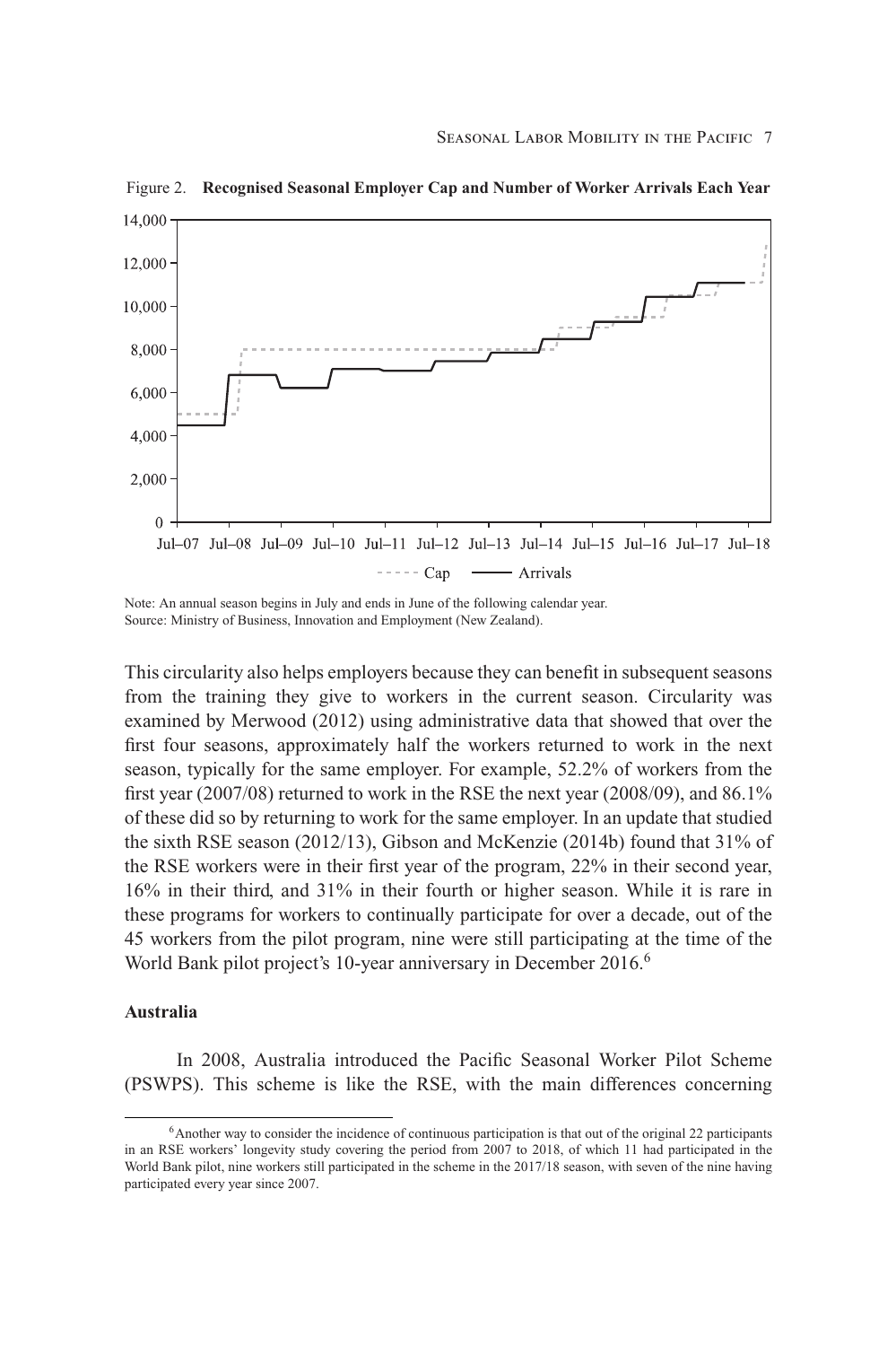

Figure 2. **Recognised Seasonal Employer Cap and Number of Worker Arrivals Each Year**

Note: An annual season begins in July and ends in June of the following calendar year. Source: Ministry of Business, Innovation and Employment (New Zealand).

This circularity also helps employers because they can benefit in subsequent seasons from the training they give to workers in the current season. Circularity was examined by Merwood (2012) using administrative data that showed that over the first four seasons, approximately half the workers returned to work in the next season, typically for the same employer. For example, 52.2% of workers from the first year (2007/08) returned to work in the RSE the next year (2008/09), and 86.1% of these did so by returning to work for the same employer. In an update that studied the sixth RSE season (2012/13), Gibson and McKenzie (2014b) found that 31% of the RSE workers were in their first year of the program, 22% in their second year, 16% in their third, and 31% in their fourth or higher season. While it is rare in these programs for workers to continually participate for over a decade, out of the 45 workers from the pilot program, nine were still participating at the time of the World Bank pilot project's 10-year anniversary in December 2016.<sup>6</sup>

## **Australia**

In 2008, Australia introduced the Pacific Seasonal Worker Pilot Scheme (PSWPS). This scheme is like the RSE, with the main differences concerning

<sup>&</sup>lt;sup>6</sup>Another way to consider the incidence of continuous participation is that out of the original 22 participants in an RSE workers' longevity study covering the period from 2007 to 2018, of which 11 had participated in the World Bank pilot, nine workers still participated in the scheme in the 2017/18 season, with seven of the nine having participated every year since 2007.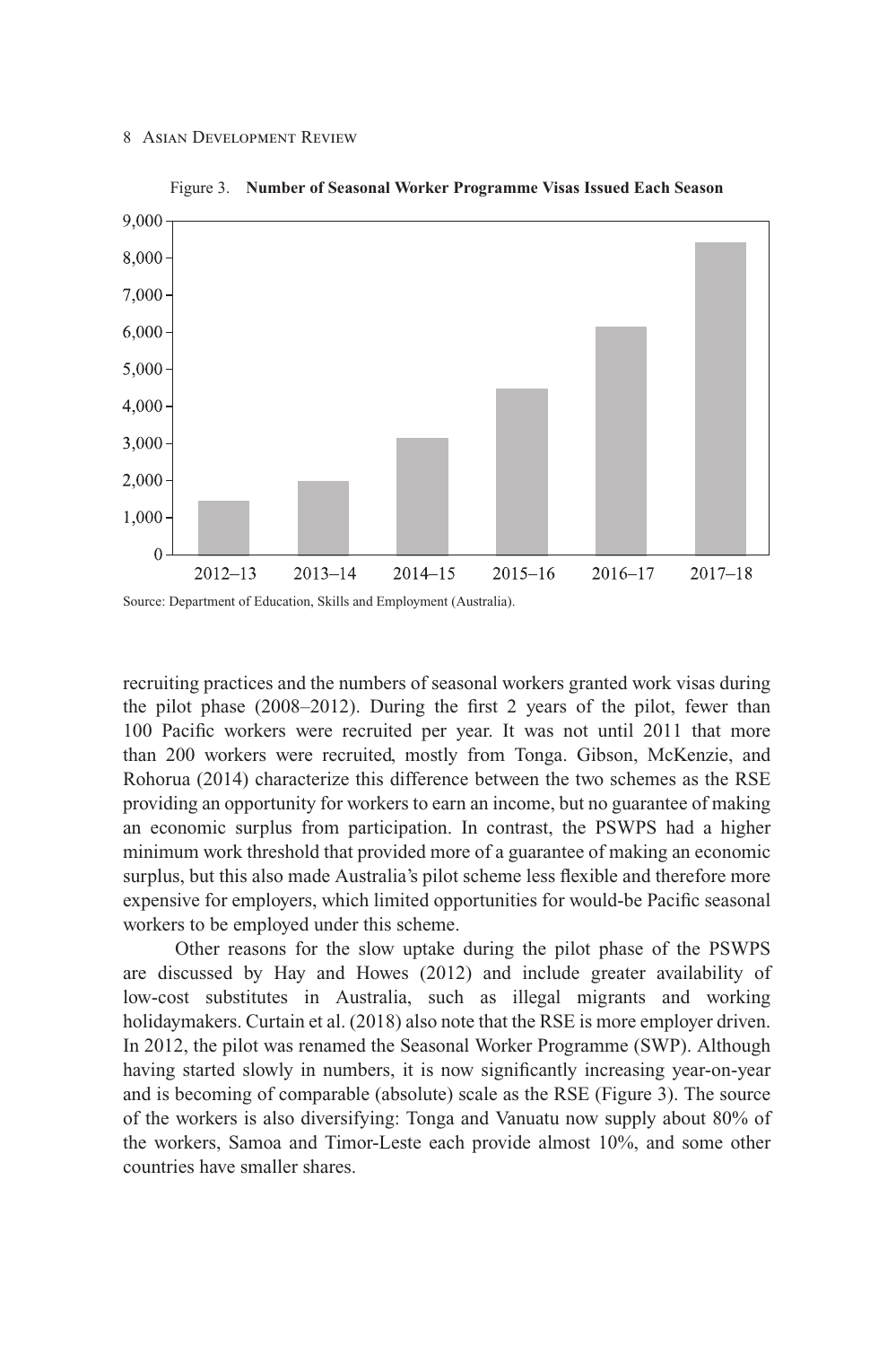

Figure 3. **Number of Seasonal Worker Programme Visas Issued Each Season**

recruiting practices and the numbers of seasonal workers granted work visas during the pilot phase (2008–2012). During the first 2 years of the pilot, fewer than 100 Pacific workers were recruited per year. It was not until 2011 that more than 200 workers were recruited, mostly from Tonga. Gibson, McKenzie, and Rohorua (2014) characterize this difference between the two schemes as the RSE providing an opportunity for workers to earn an income, but no guarantee of making an economic surplus from participation. In contrast, the PSWPS had a higher minimum work threshold that provided more of a guarantee of making an economic surplus, but this also made Australia's pilot scheme less flexible and therefore more expensive for employers, which limited opportunities for would-be Pacific seasonal workers to be employed under this scheme.

Other reasons for the slow uptake during the pilot phase of the PSWPS are discussed by Hay and Howes (2012) and include greater availability of low-cost substitutes in Australia, such as illegal migrants and working holidaymakers. Curtain et al. (2018) also note that the RSE is more employer driven. In 2012, the pilot was renamed the Seasonal Worker Programme (SWP). Although having started slowly in numbers, it is now significantly increasing year-on-year and is becoming of comparable (absolute) scale as the RSE (Figure 3). The source of the workers is also diversifying: Tonga and Vanuatu now supply about 80% of the workers, Samoa and Timor-Leste each provide almost 10%, and some other countries have smaller shares.

Source: Department of Education, Skills and Employment (Australia).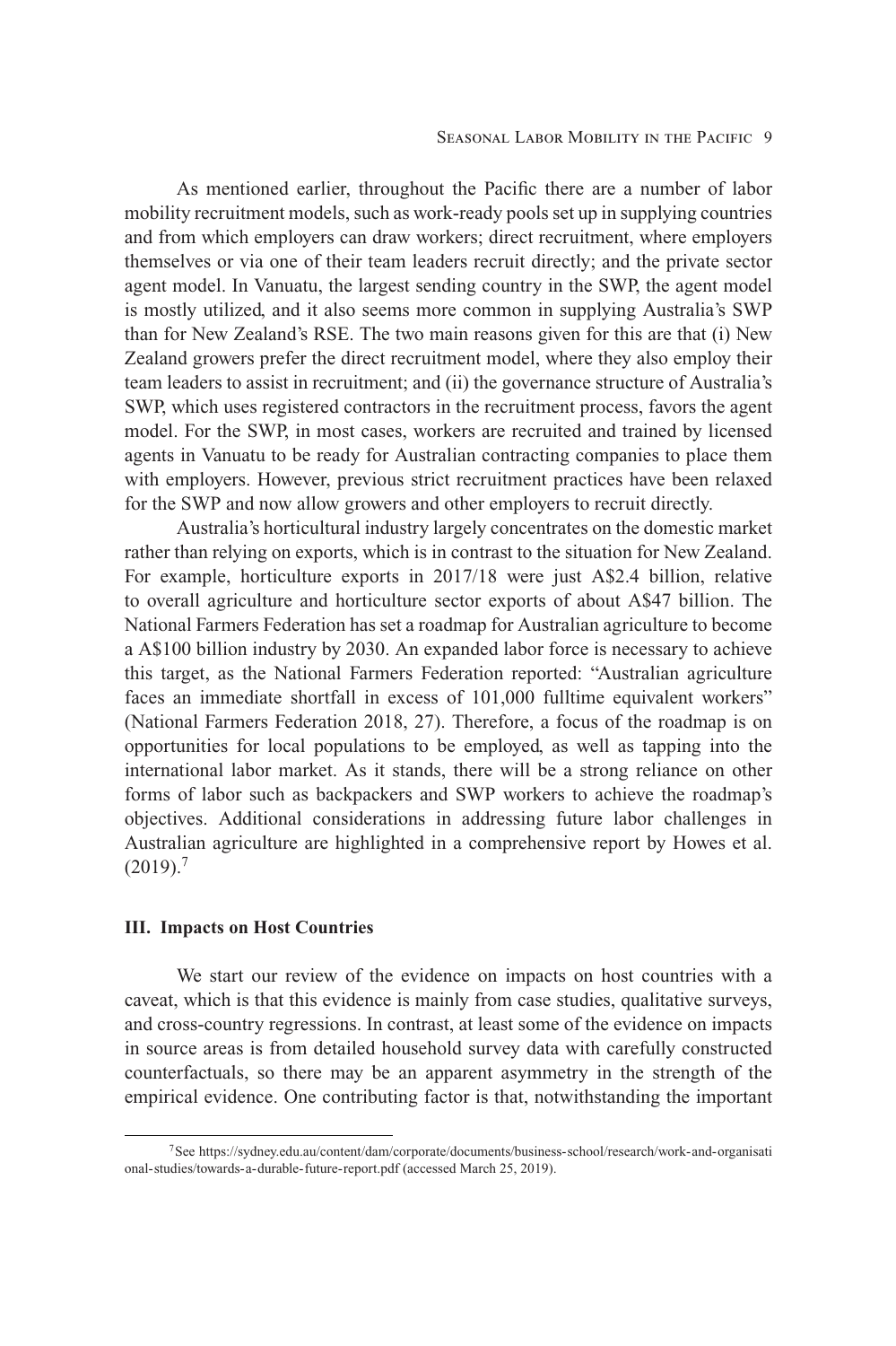As mentioned earlier, throughout the Pacific there are a number of labor mobility recruitment models, such as work-ready pools set up in supplying countries and from which employers can draw workers; direct recruitment, where employers themselves or via one of their team leaders recruit directly; and the private sector agent model. In Vanuatu, the largest sending country in the SWP, the agent model is mostly utilized, and it also seems more common in supplying Australia's SWP than for New Zealand's RSE. The two main reasons given for this are that (i) New Zealand growers prefer the direct recruitment model, where they also employ their team leaders to assist in recruitment; and (ii) the governance structure of Australia's SWP, which uses registered contractors in the recruitment process, favors the agent model. For the SWP, in most cases, workers are recruited and trained by licensed agents in Vanuatu to be ready for Australian contracting companies to place them with employers. However, previous strict recruitment practices have been relaxed for the SWP and now allow growers and other employers to recruit directly.

Australia's horticultural industry largely concentrates on the domestic market rather than relying on exports, which is in contrast to the situation for New Zealand. For example, horticulture exports in 2017/18 were just A\$2.4 billion, relative to overall agriculture and horticulture sector exports of about A\$47 billion. The National Farmers Federation has set a roadmap for Australian agriculture to become a A\$100 billion industry by 2030. An expanded labor force is necessary to achieve this target, as the National Farmers Federation reported: "Australian agriculture faces an immediate shortfall in excess of 101,000 fulltime equivalent workers" (National Farmers Federation 2018, 27). Therefore, a focus of the roadmap is on opportunities for local populations to be employed, as well as tapping into the international labor market. As it stands, there will be a strong reliance on other forms of labor such as backpackers and SWP workers to achieve the roadmap's objectives. Additional considerations in addressing future labor challenges in Australian agriculture are highlighted in a comprehensive report by Howes et al.  $(2019).<sup>7</sup>$ 

## **III. Impacts on Host Countries**

We start our review of the evidence on impacts on host countries with a caveat, which is that this evidence is mainly from case studies, qualitative surveys, and cross-country regressions. In contrast, at least some of the evidence on impacts in source areas is from detailed household survey data with carefully constructed counterfactuals, so there may be an apparent asymmetry in the strength of the empirical evidence. One contributing factor is that, notwithstanding the important

[<sup>7</sup>See https://sydney.edu.au/content/dam/corporate/documents/business-school/research/work-and-organisati](https://sydney.edu.au/content/dam/corporate/documents/business-school/research/work-and-organisational-studies/towards-a-durable-future-report.pdf) onal-studies/towards-a-durable-future-report.pdf (accessed March 25, 2019).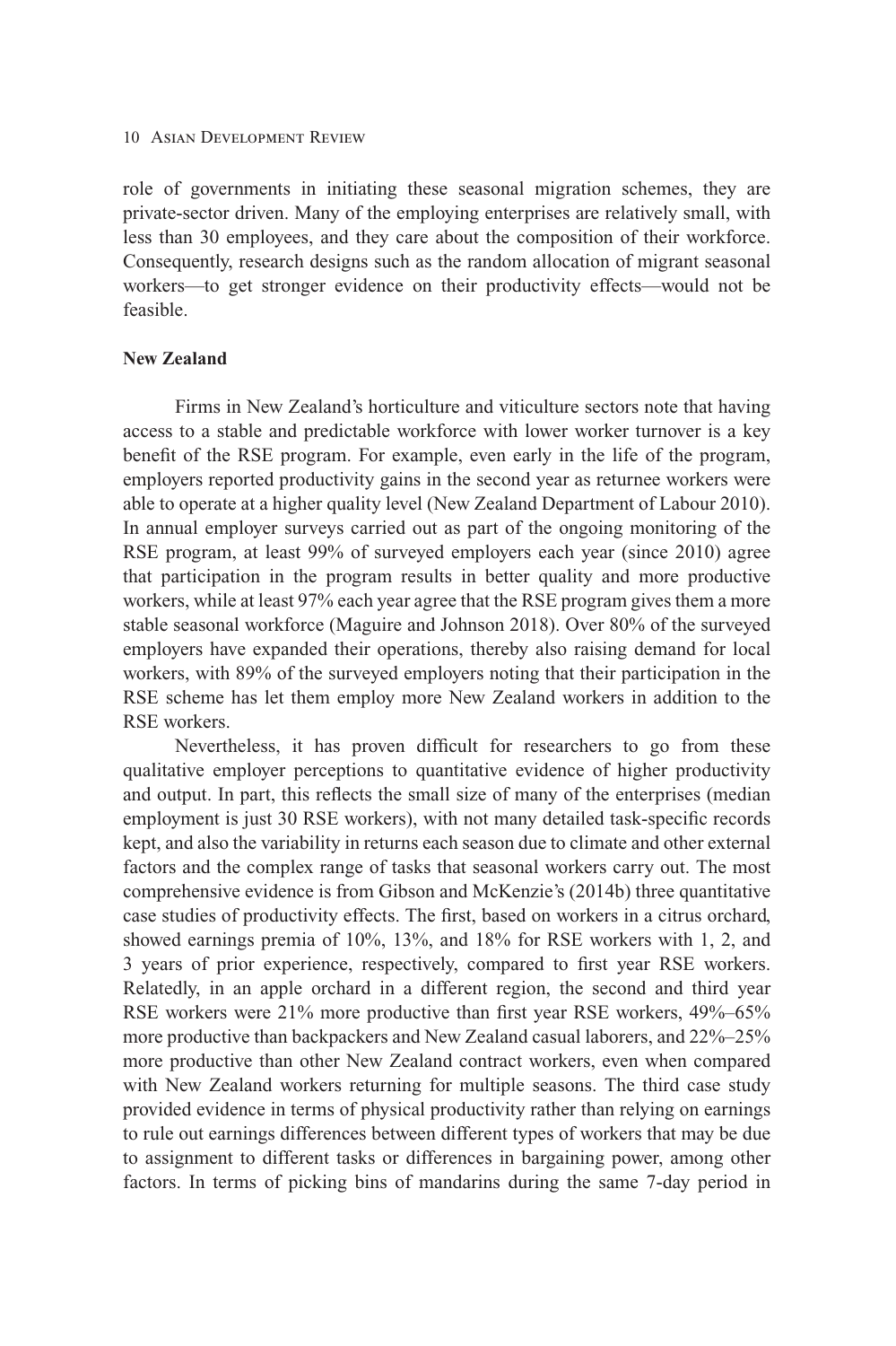role of governments in initiating these seasonal migration schemes, they are private-sector driven. Many of the employing enterprises are relatively small, with less than 30 employees, and they care about the composition of their workforce. Consequently, research designs such as the random allocation of migrant seasonal workers—to get stronger evidence on their productivity effects—would not be feasible.

# **New Zealand**

Firms in New Zealand's horticulture and viticulture sectors note that having access to a stable and predictable workforce with lower worker turnover is a key benefit of the RSE program. For example, even early in the life of the program, employers reported productivity gains in the second year as returnee workers were able to operate at a higher quality level (New Zealand Department of Labour 2010). In annual employer surveys carried out as part of the ongoing monitoring of the RSE program, at least 99% of surveyed employers each year (since 2010) agree that participation in the program results in better quality and more productive workers, while at least 97% each year agree that the RSE program gives them a more stable seasonal workforce (Maguire and Johnson 2018). Over 80% of the surveyed employers have expanded their operations, thereby also raising demand for local workers, with 89% of the surveyed employers noting that their participation in the RSE scheme has let them employ more New Zealand workers in addition to the RSE workers.

Nevertheless, it has proven difficult for researchers to go from these qualitative employer perceptions to quantitative evidence of higher productivity and output. In part, this reflects the small size of many of the enterprises (median employment is just 30 RSE workers), with not many detailed task-specific records kept, and also the variability in returns each season due to climate and other external factors and the complex range of tasks that seasonal workers carry out. The most comprehensive evidence is from Gibson and McKenzie's (2014b) three quantitative case studies of productivity effects. The first, based on workers in a citrus orchard, showed earnings premia of 10%, 13%, and 18% for RSE workers with 1, 2, and 3 years of prior experience, respectively, compared to first year RSE workers. Relatedly, in an apple orchard in a different region, the second and third year RSE workers were 21% more productive than first year RSE workers, 49%–65% more productive than backpackers and New Zealand casual laborers, and 22%–25% more productive than other New Zealand contract workers, even when compared with New Zealand workers returning for multiple seasons. The third case study provided evidence in terms of physical productivity rather than relying on earnings to rule out earnings differences between different types of workers that may be due to assignment to different tasks or differences in bargaining power, among other factors. In terms of picking bins of mandarins during the same 7-day period in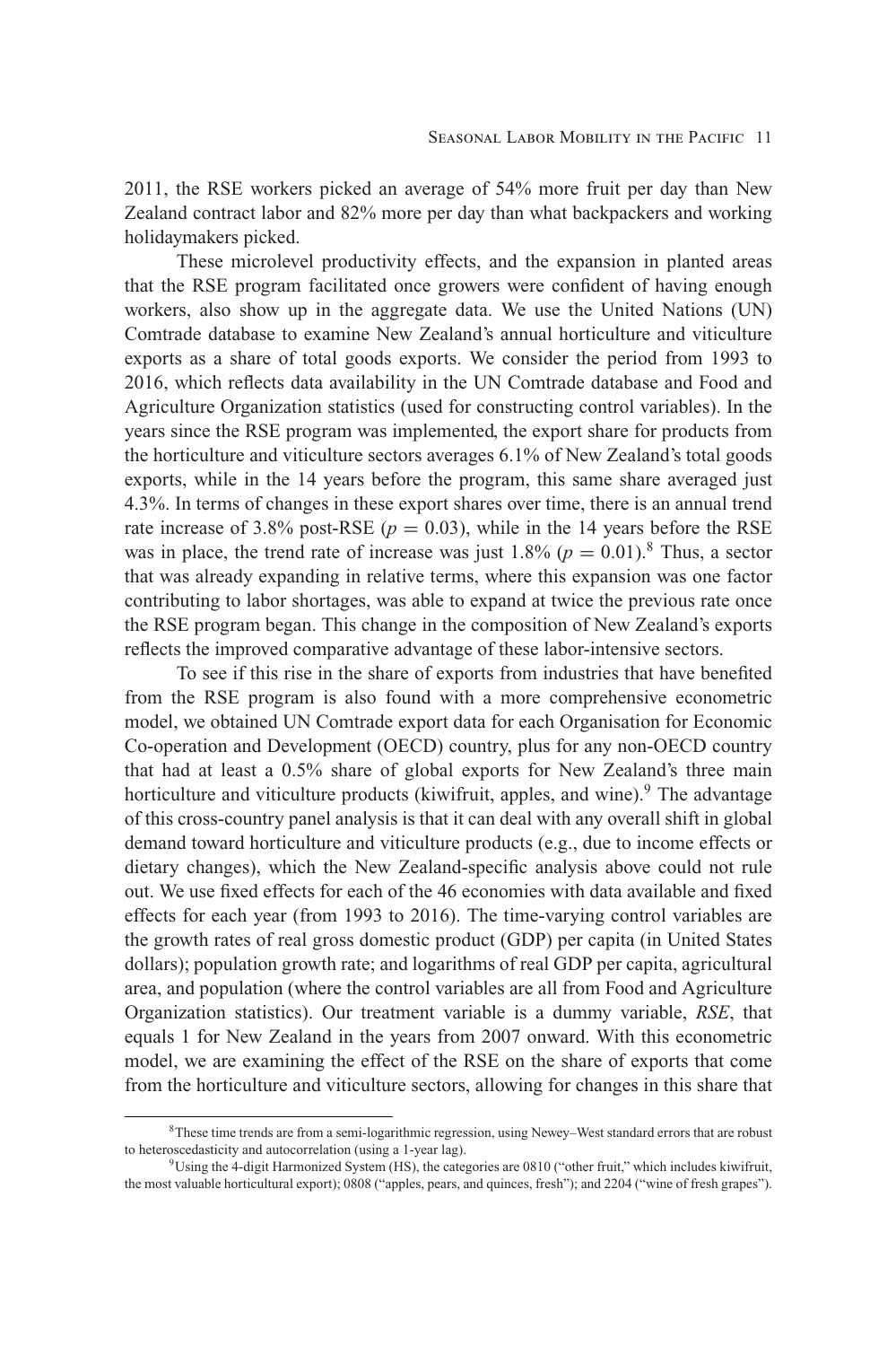2011, the RSE workers picked an average of 54% more fruit per day than New Zealand contract labor and 82% more per day than what backpackers and working holidaymakers picked.

These microlevel productivity effects, and the expansion in planted areas that the RSE program facilitated once growers were confident of having enough workers, also show up in the aggregate data. We use the United Nations (UN) Comtrade database to examine New Zealand's annual horticulture and viticulture exports as a share of total goods exports. We consider the period from 1993 to 2016, which reflects data availability in the UN Comtrade database and Food and Agriculture Organization statistics (used for constructing control variables). In the years since the RSE program was implemented, the export share for products from the horticulture and viticulture sectors averages 6.1% of New Zealand's total goods exports, while in the 14 years before the program, this same share averaged just 4.3%. In terms of changes in these export shares over time, there is an annual trend rate increase of 3.8% post-RSE ( $p = 0.03$ ), while in the 14 years before the RSE was in place, the trend rate of increase was just  $1.8\%$  ( $p = 0.01$ ).<sup>8</sup> Thus, a sector that was already expanding in relative terms, where this expansion was one factor contributing to labor shortages, was able to expand at twice the previous rate once the RSE program began. This change in the composition of New Zealand's exports reflects the improved comparative advantage of these labor-intensive sectors.

To see if this rise in the share of exports from industries that have benefited from the RSE program is also found with a more comprehensive econometric model, we obtained UN Comtrade export data for each Organisation for Economic Co-operation and Development (OECD) country, plus for any non-OECD country that had at least a 0.5% share of global exports for New Zealand's three main horticulture and viticulture products (kiwifruit, apples, and wine).<sup>9</sup> The advantage of this cross-country panel analysis is that it can deal with any overall shift in global demand toward horticulture and viticulture products (e.g., due to income effects or dietary changes), which the New Zealand-specific analysis above could not rule out. We use fixed effects for each of the 46 economies with data available and fixed effects for each year (from 1993 to 2016). The time-varying control variables are the growth rates of real gross domestic product (GDP) per capita (in United States dollars); population growth rate; and logarithms of real GDP per capita, agricultural area, and population (where the control variables are all from Food and Agriculture Organization statistics). Our treatment variable is a dummy variable, *RSE*, that equals 1 for New Zealand in the years from 2007 onward. With this econometric model, we are examining the effect of the RSE on the share of exports that come from the horticulture and viticulture sectors, allowing for changes in this share that

<sup>8</sup>These time trends are from a semi-logarithmic regression, using Newey–West standard errors that are robust to heteroscedasticity and autocorrelation (using a 1-year lag).

<sup>9</sup>Using the 4-digit Harmonized System (HS), the categories are 0810 ("other fruit," which includes kiwifruit, the most valuable horticultural export); 0808 ("apples, pears, and quinces, fresh"); and 2204 ("wine of fresh grapes").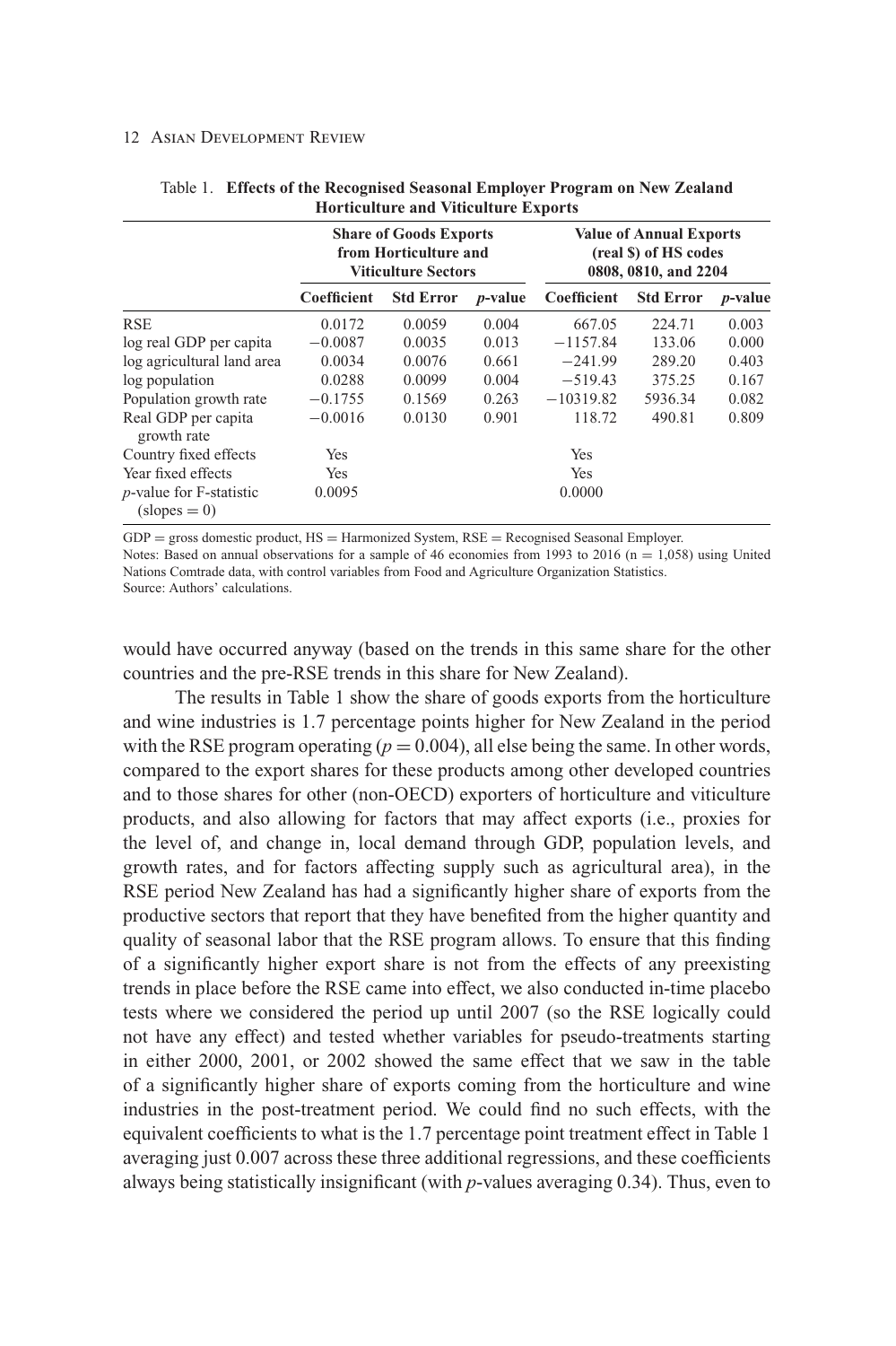|                                              |             | from Horticulture and<br><b>Viticulture Sectors</b> | <b>Share of Goods Exports</b> |             | <b>Value of Annual Exports</b><br>(real \$) of HS codes<br>0808, 0810, and 2204 |                 |  |
|----------------------------------------------|-------------|-----------------------------------------------------|-------------------------------|-------------|---------------------------------------------------------------------------------|-----------------|--|
|                                              | Coefficient | <b>Std Error</b>                                    | <i>p</i> -value               | Coefficient | <b>Std Error</b>                                                                | <i>p</i> -value |  |
| <b>RSE</b>                                   | 0.0172      | 0.0059                                              | 0.004                         | 667.05      | 224.71                                                                          | 0.003           |  |
| log real GDP per capita                      | $-0.0087$   | 0.0035                                              | 0.013                         | $-1157.84$  | 133.06                                                                          | 0.000           |  |
| log agricultural land area                   | 0.0034      | 0.0076                                              | 0.661                         | $-241.99$   | 289.20                                                                          | 0.403           |  |
| log population                               | 0.0288      | 0.0099                                              | 0.004                         | $-519.43$   | 375.25                                                                          | 0.167           |  |
| Population growth rate                       | $-0.1755$   | 0.1569                                              | 0.263                         | $-10319.82$ | 5936.34                                                                         | 0.082           |  |
| Real GDP per capita<br>growth rate           | $-0.0016$   | 0.0130                                              | 0.901                         | 118.72      | 490.81                                                                          | 0.809           |  |
| Country fixed effects                        | Yes         |                                                     |                               | Yes         |                                                                                 |                 |  |
| Year fixed effects                           | Yes         |                                                     |                               | <b>Yes</b>  |                                                                                 |                 |  |
| $p$ -value for F-statistic<br>$(slopes = 0)$ | 0.0095      |                                                     |                               | 0.0000      |                                                                                 |                 |  |

Table 1. **Effects of the Recognised Seasonal Employer Program on New Zealand Horticulture and Viticulture Exports**

 $GDP =$  gross domestic product,  $HS =$  Harmonized System,  $RSE =$  Recognised Seasonal Employer.

Notes: Based on annual observations for a sample of 46 economies from 1993 to 2016 ( $n = 1,058$ ) using United Nations Comtrade data, with control variables from Food and Agriculture Organization Statistics.

Source: Authors' calculations.

would have occurred anyway (based on the trends in this same share for the other countries and the pre-RSE trends in this share for New Zealand).

The results in Table 1 show the share of goods exports from the horticulture and wine industries is 1.7 percentage points higher for New Zealand in the period with the RSE program operating  $(p = 0.004)$ , all else being the same. In other words, compared to the export shares for these products among other developed countries and to those shares for other (non-OECD) exporters of horticulture and viticulture products, and also allowing for factors that may affect exports (i.e., proxies for the level of, and change in, local demand through GDP, population levels, and growth rates, and for factors affecting supply such as agricultural area), in the RSE period New Zealand has had a significantly higher share of exports from the productive sectors that report that they have benefited from the higher quantity and quality of seasonal labor that the RSE program allows. To ensure that this finding of a significantly higher export share is not from the effects of any preexisting trends in place before the RSE came into effect, we also conducted in-time placebo tests where we considered the period up until 2007 (so the RSE logically could not have any effect) and tested whether variables for pseudo-treatments starting in either 2000, 2001, or 2002 showed the same effect that we saw in the table of a significantly higher share of exports coming from the horticulture and wine industries in the post-treatment period. We could find no such effects, with the equivalent coefficients to what is the 1.7 percentage point treatment effect in Table 1 averaging just 0.007 across these three additional regressions, and these coefficients always being statistically insignificant (with *p*-values averaging 0.34). Thus, even to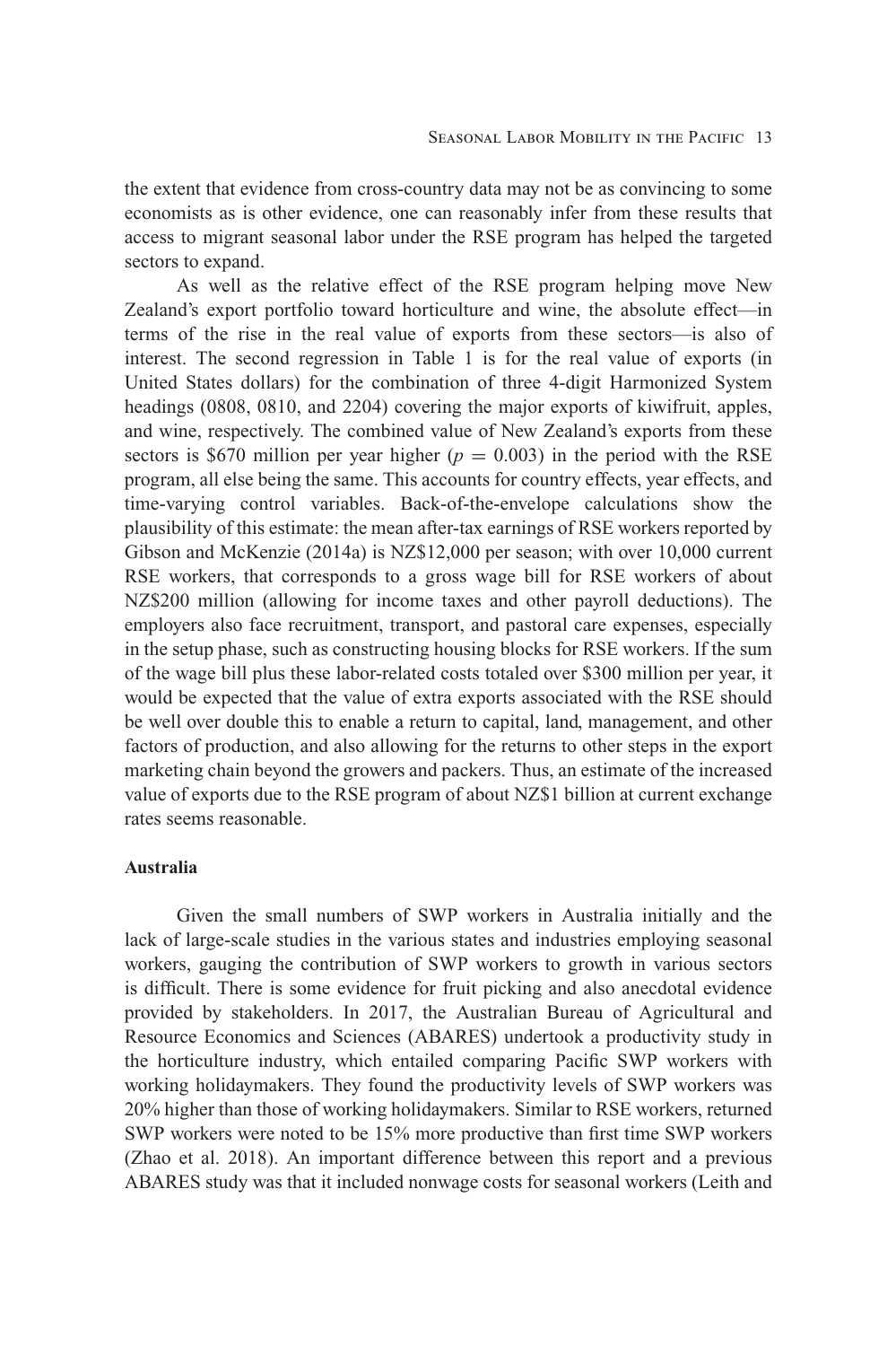the extent that evidence from cross-country data may not be as convincing to some economists as is other evidence, one can reasonably infer from these results that access to migrant seasonal labor under the RSE program has helped the targeted sectors to expand.

As well as the relative effect of the RSE program helping move New Zealand's export portfolio toward horticulture and wine, the absolute effect—in terms of the rise in the real value of exports from these sectors—is also of interest. The second regression in Table 1 is for the real value of exports (in United States dollars) for the combination of three 4-digit Harmonized System headings (0808, 0810, and 2204) covering the major exports of kiwifruit, apples, and wine, respectively. The combined value of New Zealand's exports from these sectors is \$670 million per year higher ( $p = 0.003$ ) in the period with the RSE program, all else being the same. This accounts for country effects, year effects, and time-varying control variables. Back-of-the-envelope calculations show the plausibility of this estimate: the mean after-tax earnings of RSE workers reported by Gibson and McKenzie (2014a) is NZ\$12,000 per season; with over 10,000 current RSE workers, that corresponds to a gross wage bill for RSE workers of about NZ\$200 million (allowing for income taxes and other payroll deductions). The employers also face recruitment, transport, and pastoral care expenses, especially in the setup phase, such as constructing housing blocks for RSE workers. If the sum of the wage bill plus these labor-related costs totaled over \$300 million per year, it would be expected that the value of extra exports associated with the RSE should be well over double this to enable a return to capital, land, management, and other factors of production, and also allowing for the returns to other steps in the export marketing chain beyond the growers and packers. Thus, an estimate of the increased value of exports due to the RSE program of about NZ\$1 billion at current exchange rates seems reasonable.

# **Australia**

Given the small numbers of SWP workers in Australia initially and the lack of large-scale studies in the various states and industries employing seasonal workers, gauging the contribution of SWP workers to growth in various sectors is difficult. There is some evidence for fruit picking and also anecdotal evidence provided by stakeholders. In 2017, the Australian Bureau of Agricultural and Resource Economics and Sciences (ABARES) undertook a productivity study in the horticulture industry, which entailed comparing Pacific SWP workers with working holidaymakers. They found the productivity levels of SWP workers was 20% higher than those of working holidaymakers. Similar to RSE workers, returned SWP workers were noted to be 15% more productive than first time SWP workers (Zhao et al. 2018). An important difference between this report and a previous ABARES study was that it included nonwage costs for seasonal workers (Leith and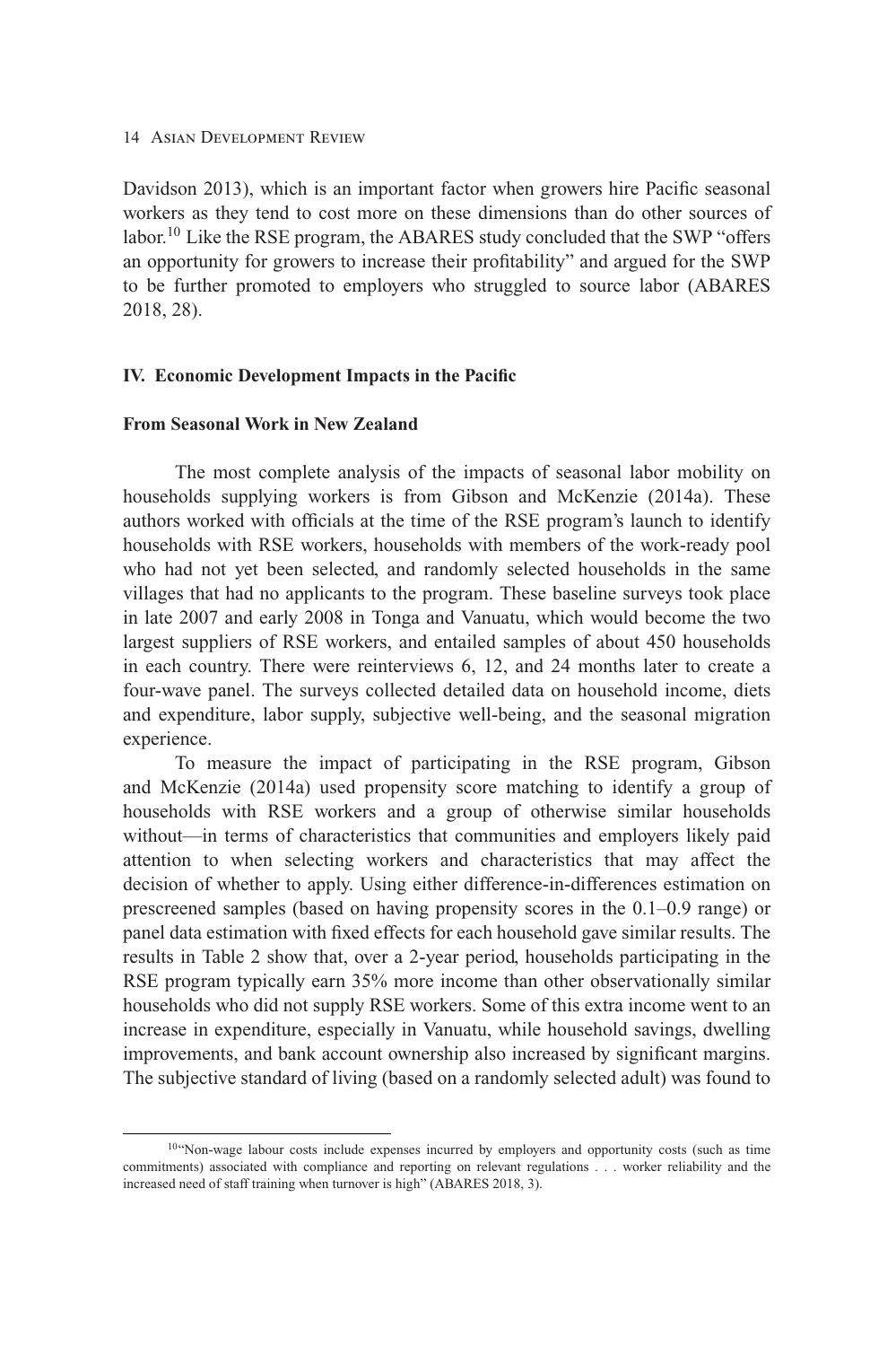Davidson 2013), which is an important factor when growers hire Pacific seasonal workers as they tend to cost more on these dimensions than do other sources of labor.<sup>10</sup> Like the RSE program, the ABARES study concluded that the SWP "offers an opportunity for growers to increase their profitability" and argued for the SWP to be further promoted to employers who struggled to source labor (ABARES 2018, 28).

## **IV. Economic Development Impacts in the Pacific**

# **From Seasonal Work in New Zealand**

The most complete analysis of the impacts of seasonal labor mobility on households supplying workers is from Gibson and McKenzie (2014a). These authors worked with officials at the time of the RSE program's launch to identify households with RSE workers, households with members of the work-ready pool who had not yet been selected, and randomly selected households in the same villages that had no applicants to the program. These baseline surveys took place in late 2007 and early 2008 in Tonga and Vanuatu, which would become the two largest suppliers of RSE workers, and entailed samples of about 450 households in each country. There were reinterviews 6, 12, and 24 months later to create a four-wave panel. The surveys collected detailed data on household income, diets and expenditure, labor supply, subjective well-being, and the seasonal migration experience.

To measure the impact of participating in the RSE program, Gibson and McKenzie (2014a) used propensity score matching to identify a group of households with RSE workers and a group of otherwise similar households without—in terms of characteristics that communities and employers likely paid attention to when selecting workers and characteristics that may affect the decision of whether to apply. Using either difference-in-differences estimation on prescreened samples (based on having propensity scores in the 0.1–0.9 range) or panel data estimation with fixed effects for each household gave similar results. The results in Table 2 show that, over a 2-year period, households participating in the RSE program typically earn 35% more income than other observationally similar households who did not supply RSE workers. Some of this extra income went to an increase in expenditure, especially in Vanuatu, while household savings, dwelling improvements, and bank account ownership also increased by significant margins. The subjective standard of living (based on a randomly selected adult) was found to

<sup>10&</sup>quot;Non-wage labour costs include expenses incurred by employers and opportunity costs (such as time commitments) associated with compliance and reporting on relevant regulations . . . worker reliability and the increased need of staff training when turnover is high" (ABARES 2018, 3).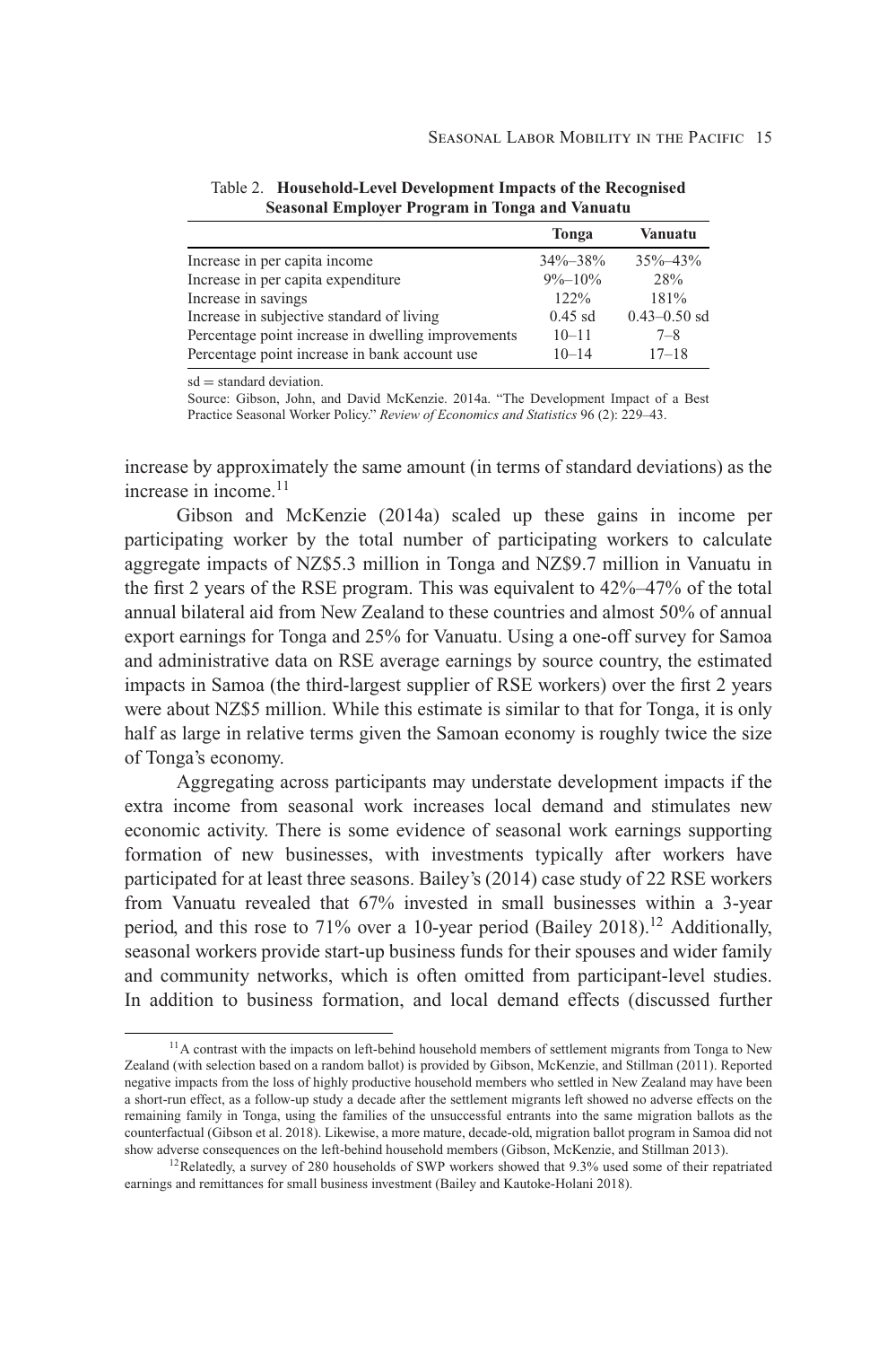|                                                    | Tonga         | Vanuatu          |
|----------------------------------------------------|---------------|------------------|
| Increase in per capita income                      | $34\% - 38\%$ | $35\% - 43\%$    |
| Increase in per capita expenditure                 | $9\% - 10\%$  | 28%              |
| Increase in savings                                | 122%          | 181%             |
| Increase in subjective standard of living          | $0.45$ sd     | $0.43 - 0.50$ sd |
| Percentage point increase in dwelling improvements | $10 - 11$     | $7 - 8$          |
| Percentage point increase in bank account use      | $10 - 14$     | $17 - 18$        |

Table 2. **Household-Level Development Impacts of the Recognised Seasonal Employer Program in Tonga and Vanuatu**

 $sd = standard deviation$ .

Source: Gibson, John, and David McKenzie. 2014a. "The Development Impact of a Best Practice Seasonal Worker Policy." *Review of Economics and Statistics* 96 (2): 229–43.

increase by approximately the same amount (in terms of standard deviations) as the increase in income.<sup>11</sup>

Gibson and McKenzie (2014a) scaled up these gains in income per participating worker by the total number of participating workers to calculate aggregate impacts of NZ\$5.3 million in Tonga and NZ\$9.7 million in Vanuatu in the first 2 years of the RSE program. This was equivalent to 42%–47% of the total annual bilateral aid from New Zealand to these countries and almost 50% of annual export earnings for Tonga and 25% for Vanuatu. Using a one-off survey for Samoa and administrative data on RSE average earnings by source country, the estimated impacts in Samoa (the third-largest supplier of RSE workers) over the first 2 years were about NZ\$5 million. While this estimate is similar to that for Tonga, it is only half as large in relative terms given the Samoan economy is roughly twice the size of Tonga's economy.

Aggregating across participants may understate development impacts if the extra income from seasonal work increases local demand and stimulates new economic activity. There is some evidence of seasonal work earnings supporting formation of new businesses, with investments typically after workers have participated for at least three seasons. Bailey's (2014) case study of 22 RSE workers from Vanuatu revealed that 67% invested in small businesses within a 3-year period, and this rose to 71% over a 10-year period (Bailey 2018).<sup>12</sup> Additionally, seasonal workers provide start-up business funds for their spouses and wider family and community networks, which is often omitted from participant-level studies. In addition to business formation, and local demand effects (discussed further

 $11$ A contrast with the impacts on left-behind household members of settlement migrants from Tonga to New Zealand (with selection based on a random ballot) is provided by Gibson, McKenzie, and Stillman (2011). Reported negative impacts from the loss of highly productive household members who settled in New Zealand may have been a short-run effect, as a follow-up study a decade after the settlement migrants left showed no adverse effects on the remaining family in Tonga, using the families of the unsuccessful entrants into the same migration ballots as the counterfactual (Gibson et al. 2018). Likewise, a more mature, decade-old, migration ballot program in Samoa did not show adverse consequences on the left-behind household members (Gibson, McKenzie, and Stillman 2013).

<sup>&</sup>lt;sup>12</sup>Relatedly, a survey of 280 households of SWP workers showed that 9.3% used some of their repatriated earnings and remittances for small business investment (Bailey and Kautoke-Holani 2018).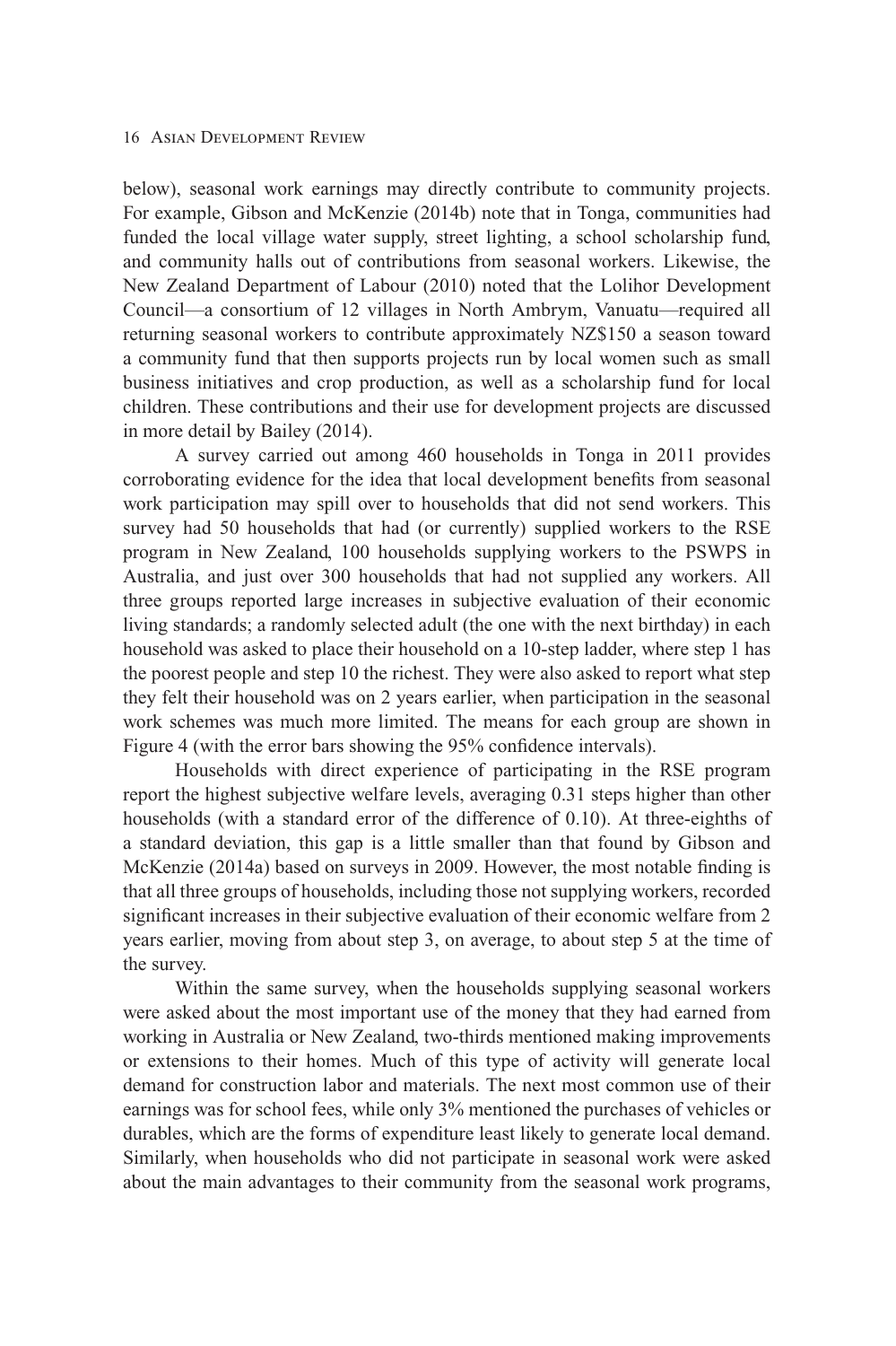below), seasonal work earnings may directly contribute to community projects. For example, Gibson and McKenzie (2014b) note that in Tonga, communities had funded the local village water supply, street lighting, a school scholarship fund, and community halls out of contributions from seasonal workers. Likewise, the New Zealand Department of Labour (2010) noted that the Lolihor Development Council—a consortium of 12 villages in North Ambrym, Vanuatu—required all returning seasonal workers to contribute approximately NZ\$150 a season toward a community fund that then supports projects run by local women such as small business initiatives and crop production, as well as a scholarship fund for local children. These contributions and their use for development projects are discussed in more detail by Bailey (2014).

A survey carried out among 460 households in Tonga in 2011 provides corroborating evidence for the idea that local development benefits from seasonal work participation may spill over to households that did not send workers. This survey had 50 households that had (or currently) supplied workers to the RSE program in New Zealand, 100 households supplying workers to the PSWPS in Australia, and just over 300 households that had not supplied any workers. All three groups reported large increases in subjective evaluation of their economic living standards; a randomly selected adult (the one with the next birthday) in each household was asked to place their household on a 10-step ladder, where step 1 has the poorest people and step 10 the richest. They were also asked to report what step they felt their household was on 2 years earlier, when participation in the seasonal work schemes was much more limited. The means for each group are shown in Figure 4 (with the error bars showing the 95% confidence intervals).

Households with direct experience of participating in the RSE program report the highest subjective welfare levels, averaging 0.31 steps higher than other households (with a standard error of the difference of 0.10). At three-eighths of a standard deviation, this gap is a little smaller than that found by Gibson and McKenzie (2014a) based on surveys in 2009. However, the most notable finding is that all three groups of households, including those not supplying workers, recorded significant increases in their subjective evaluation of their economic welfare from 2 years earlier, moving from about step 3, on average, to about step 5 at the time of the survey.

Within the same survey, when the households supplying seasonal workers were asked about the most important use of the money that they had earned from working in Australia or New Zealand, two-thirds mentioned making improvements or extensions to their homes. Much of this type of activity will generate local demand for construction labor and materials. The next most common use of their earnings was for school fees, while only 3% mentioned the purchases of vehicles or durables, which are the forms of expenditure least likely to generate local demand. Similarly, when households who did not participate in seasonal work were asked about the main advantages to their community from the seasonal work programs,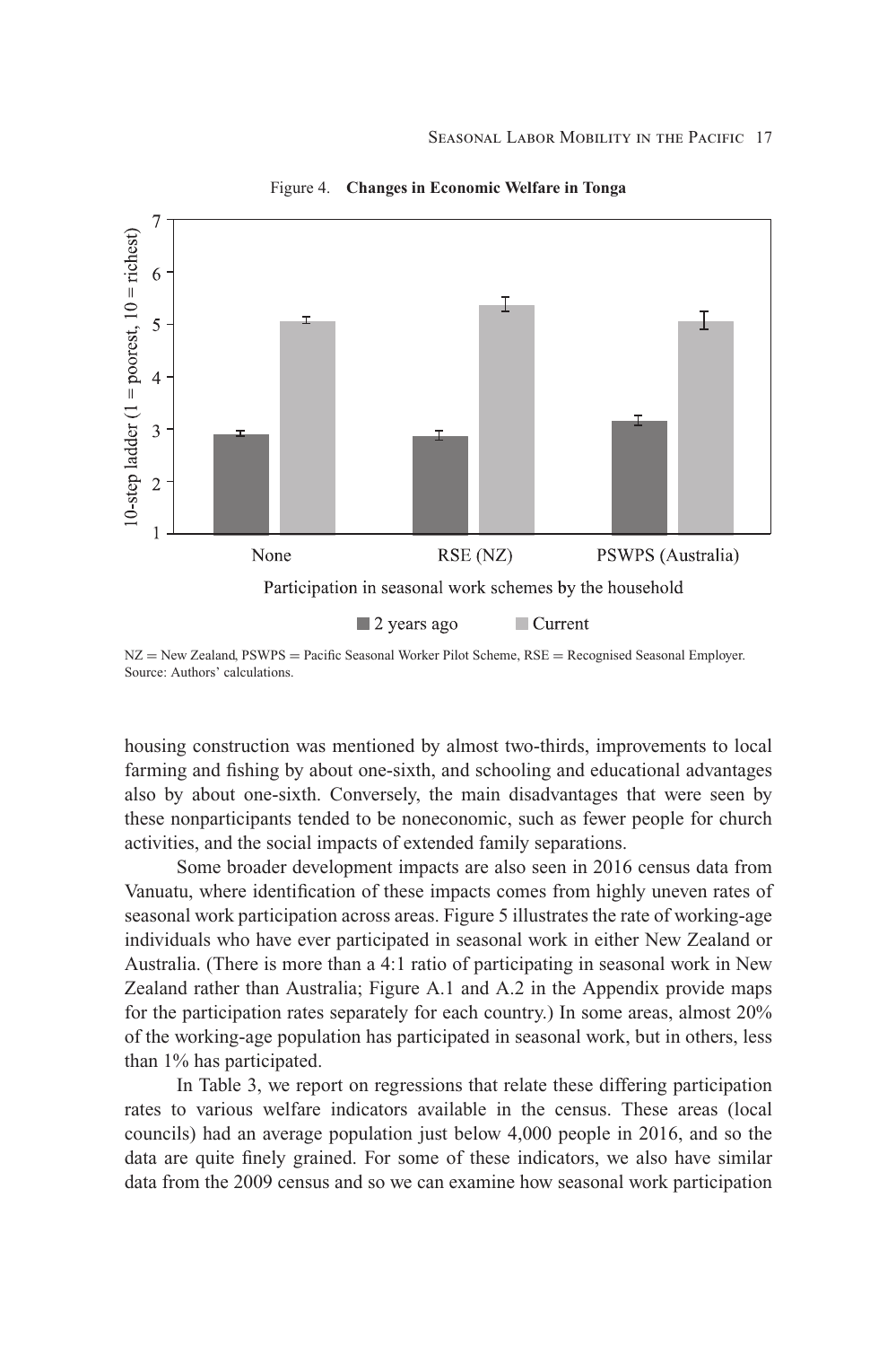

Figure 4. **Changes in Economic Welfare in Tonga**

housing construction was mentioned by almost two-thirds, improvements to local farming and fishing by about one-sixth, and schooling and educational advantages also by about one-sixth. Conversely, the main disadvantages that were seen by these nonparticipants tended to be noneconomic, such as fewer people for church activities, and the social impacts of extended family separations.

Some broader development impacts are also seen in 2016 census data from Vanuatu, where identification of these impacts comes from highly uneven rates of seasonal work participation across areas. Figure 5 illustrates the rate of working-age individuals who have ever participated in seasonal work in either New Zealand or Australia. (There is more than a 4:1 ratio of participating in seasonal work in New Zealand rather than Australia; Figure A.1 and A.2 in the Appendix provide maps for the participation rates separately for each country.) In some areas, almost 20% of the working-age population has participated in seasonal work, but in others, less than 1% has participated.

In Table 3, we report on regressions that relate these differing participation rates to various welfare indicators available in the census. These areas (local councils) had an average population just below 4,000 people in 2016, and so the data are quite finely grained. For some of these indicators, we also have similar data from the 2009 census and so we can examine how seasonal work participation

NZ = New Zealand, PSWPS = Pacific Seasonal Worker Pilot Scheme, RSE = Recognised Seasonal Employer. Source: Authors' calculations.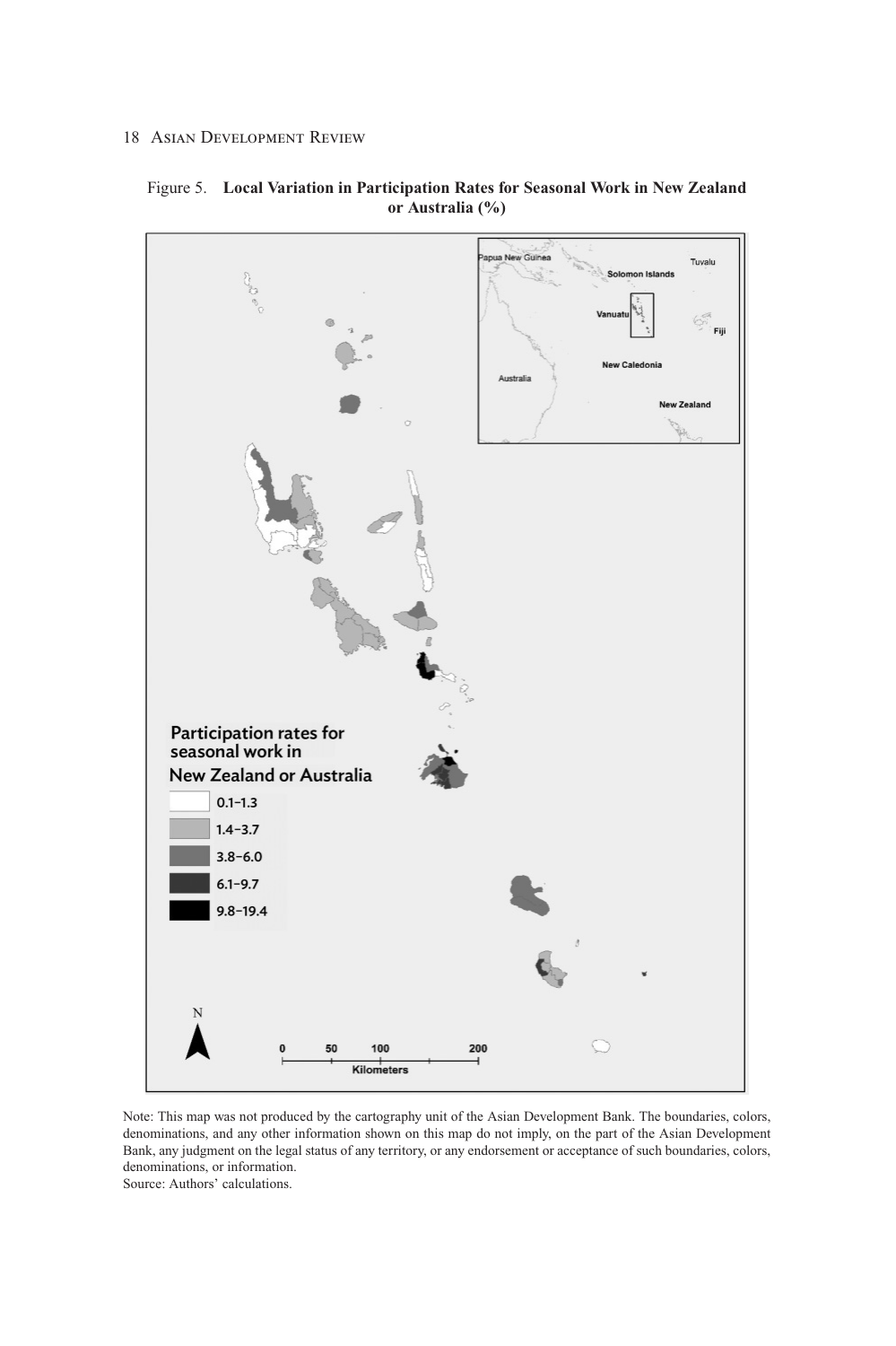

Figure 5. **Local Variation in Participation Rates for Seasonal Work in New Zealand or Australia (%)**

Note: This map was not produced by the cartography unit of the Asian Development Bank. The boundaries, colors, denominations, and any other information shown on this map do not imply, on the part of the Asian Development Bank, any judgment on the legal status of any territory, or any endorsement or acceptance of such boundaries, colors, denominations, or information.

Source: Authors' calculations.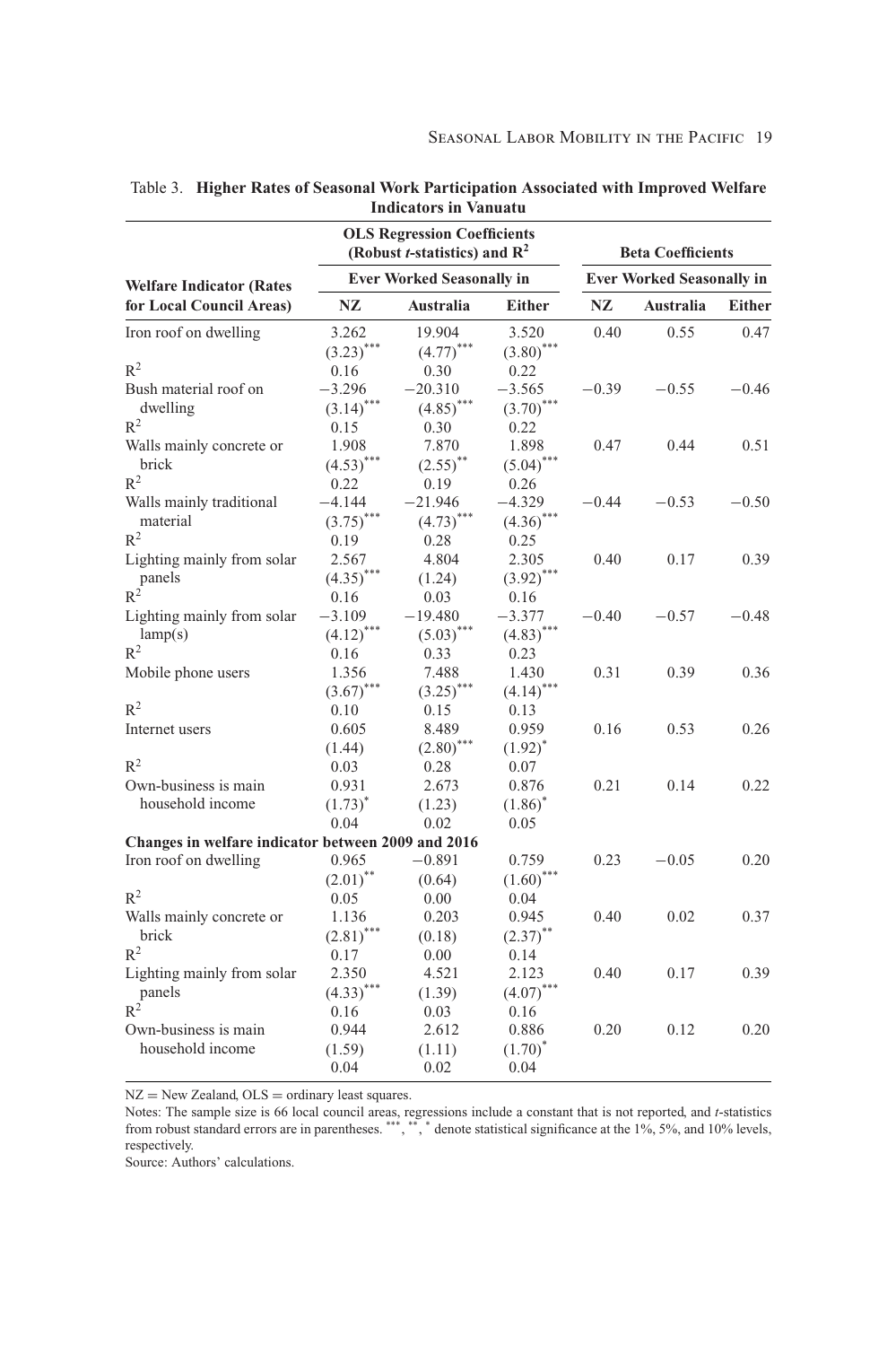|                                                    |                                  | <b>OLS Regression Coefficients</b><br>(Robust <i>t</i> -statistics) and $R^2$ |                         |                                  | <b>Beta Coefficients</b> |               |
|----------------------------------------------------|----------------------------------|-------------------------------------------------------------------------------|-------------------------|----------------------------------|--------------------------|---------------|
| <b>Welfare Indicator (Rates</b>                    | <b>Ever Worked Seasonally in</b> |                                                                               |                         | <b>Ever Worked Seasonally in</b> |                          |               |
| for Local Council Areas)                           | NZ<br>Australia                  |                                                                               | <b>Either</b>           | NZ                               | Australia                | <b>Either</b> |
| Iron roof on dwelling                              | 3.262                            | 19.904                                                                        | 3.520                   | 0.40                             | 0.55                     | 0.47          |
|                                                    | $(3.23)$ ***                     | $(4.77)$ ***                                                                  | $(3.80)$ ***            |                                  |                          |               |
| $R^2$                                              | 0.16                             | 0.30                                                                          | 0.22                    |                                  |                          |               |
| Bush material roof on                              | $-3.296$                         | $-20.310$                                                                     | $-3.565$                | $-0.39$                          | $-0.55$                  | $-0.46$       |
| dwelling                                           | $(3.14)$ ***                     | $(4.85)$ ***                                                                  | $(3.70)$ ***            |                                  |                          |               |
| $R^2$                                              | 0.15                             | 0.30                                                                          | 0.22                    |                                  |                          |               |
| Walls mainly concrete or                           | 1.908                            | 7.870                                                                         | 1.898                   | 0.47                             | 0.44                     | 0.51          |
| brick                                              | $(4.53)$ ***                     | $(2.55)$ **                                                                   | $(5.04)$ ***            |                                  |                          |               |
| $R^2$                                              | 0.22                             | 0.19                                                                          | 0.26                    |                                  |                          |               |
| Walls mainly traditional                           | $-4.144$                         | $-21.946$                                                                     | $-4.329$                | $-0.44$                          | $-0.53$                  | $-0.50$       |
| material                                           | $(3.75)$ ***                     | $(4.73)$ ***                                                                  | $(.4.36)$ ***           |                                  |                          |               |
| $\mathbb{R}^2$                                     | 0.19                             | 0.28                                                                          | 0.25                    |                                  |                          |               |
| Lighting mainly from solar                         | 2.567                            | 4.804                                                                         | 2.305                   | 0.40                             | 0.17                     | 0.39          |
| panels                                             | $(.4.35)$ ***                    | (1.24)                                                                        | $(3.92)$ ***            |                                  |                          |               |
| $R^2$                                              | 0.16                             | 0.03                                                                          | 0.16                    |                                  |                          |               |
| Lighting mainly from solar                         | $-3.109$                         | $-19.480$                                                                     | $-3.377$                | $-0.40$                          | $-0.57$                  | $-0.48$       |
| lamp(s)                                            | $(4.12)$ ***                     | $(5.03)$ ***                                                                  | $(4.83)$ <sup>***</sup> |                                  |                          |               |
| $R^2$                                              | 0.16                             | 0.33                                                                          | 0.23                    |                                  |                          |               |
| Mobile phone users                                 | 1.356                            | 7.488                                                                         | 1.430                   | 0.31                             | 0.39                     | 0.36          |
|                                                    | $(3.67)$ ***                     | $(3.25)$ ***                                                                  | $(4.14)$ ***            |                                  |                          |               |
| $R^2$                                              | 0.10                             | 0.15                                                                          | 0.13                    |                                  |                          |               |
| Internet users                                     | 0.605                            | 8.489                                                                         | 0.959                   | 0.16                             | 0.53                     | 0.26          |
|                                                    | (1.44)                           | $(2.80)$ ***                                                                  | $(1.92)^{*}$            |                                  |                          |               |
| $R^2$                                              | 0.03                             | 0.28                                                                          | 0.07                    |                                  |                          |               |
| Own-business is main                               | 0.931                            | 2.673                                                                         | 0.876                   | 0.21                             | 0.14                     | 0.22          |
| household income                                   | $(1.73)^*$                       | (1.23)                                                                        | $(1.86)^*$              |                                  |                          |               |
|                                                    | 0.04                             | 0.02                                                                          | 0.05                    |                                  |                          |               |
| Changes in welfare indicator between 2009 and 2016 |                                  |                                                                               |                         |                                  |                          |               |
| Iron roof on dwelling                              | 0.965                            | $-0.891$                                                                      | 0.759                   | 0.23                             | $-0.05$                  | 0.20          |
|                                                    | $(2.01)$ **                      | (0.64)                                                                        | $(1.60)$ ***            |                                  |                          |               |
| $R^2$                                              | 0.05                             | 0.00                                                                          | 0.04                    |                                  |                          |               |
| Walls mainly concrete or                           | 1.136                            | 0.203                                                                         | 0.945                   | 0.40                             | 0.02                     | 0.37          |
| brick                                              | $(2.81)$ ***                     | (0.18)                                                                        | $(2.37)$ **             |                                  |                          |               |
| $R^2$                                              | 0.17                             | 0.00                                                                          | 0.14                    |                                  |                          |               |
| Lighting mainly from solar                         | 2.350                            | 4.521                                                                         | 2.123                   | 0.40                             | 0.17                     | 0.39          |
| panels                                             | $(.4.33)$ ***                    | (1.39)                                                                        | $(4.07)$ ***            |                                  |                          |               |
| $R^2$                                              | 0.16                             | 0.03                                                                          | 0.16                    |                                  |                          |               |
| Own-business is main                               | 0.944                            | 2.612                                                                         | 0.886                   | 0.20                             | 0.12                     | 0.20          |
| household income                                   | (1.59)                           |                                                                               | $(1.70)^*$              |                                  |                          |               |
|                                                    | 0.04                             | (1.11)<br>0.02                                                                | 0.04                    |                                  |                          |               |
|                                                    |                                  |                                                                               |                         |                                  |                          |               |

Table 3. **Higher Rates of Seasonal Work Participation Associated with Improved Welfare Indicators in Vanuatu**

NZ = New Zealand, OLS = ordinary least squares.<br>Notes: The sample size is 66 local council areas, regressions include a constant that is not reported, and *t*-statistics<br>from robust standard errors are in parentheses.<sup>\*\*\*</sup> respectively.

Source: Authors' calculations.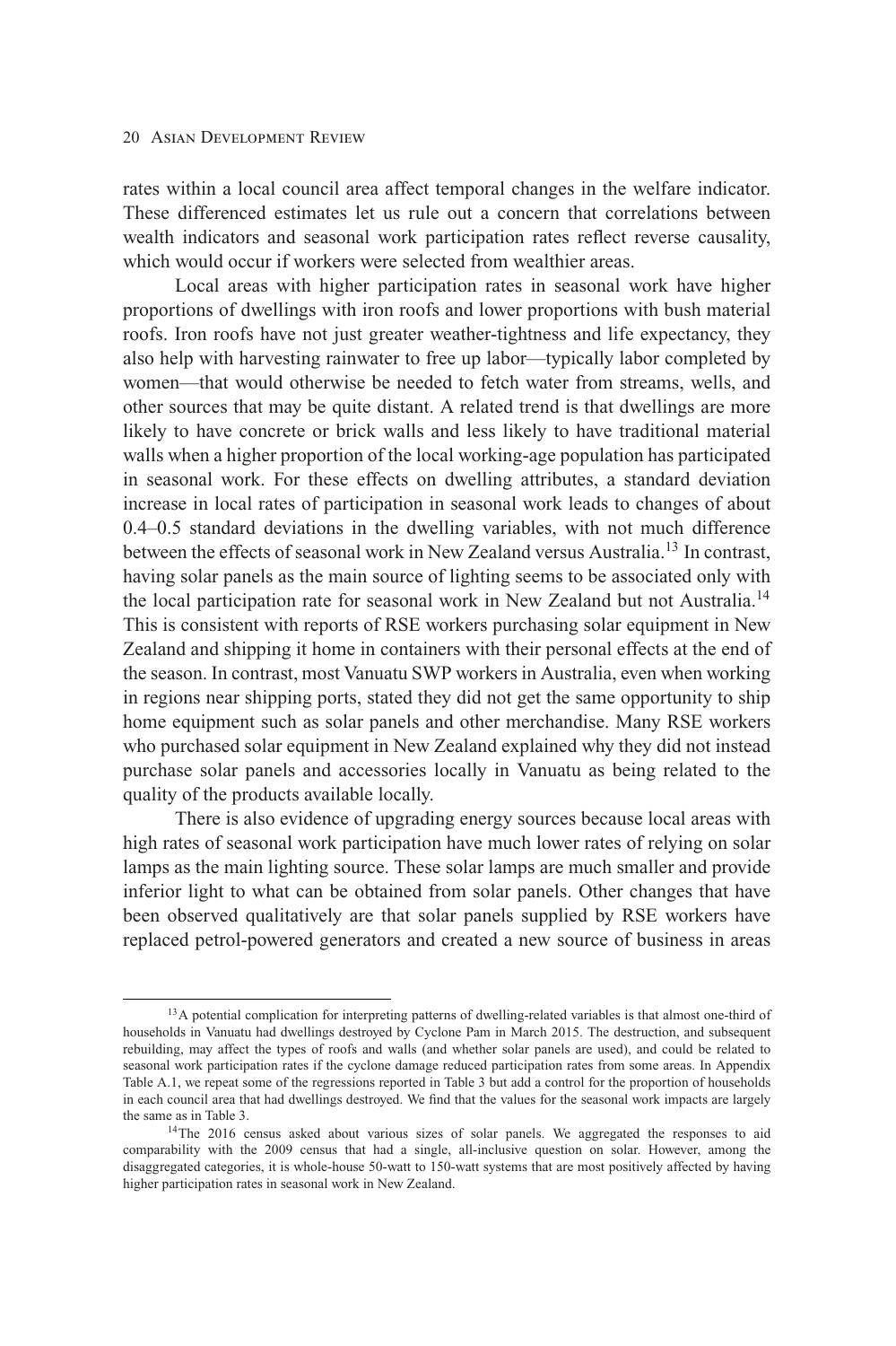rates within a local council area affect temporal changes in the welfare indicator. These differenced estimates let us rule out a concern that correlations between wealth indicators and seasonal work participation rates reflect reverse causality, which would occur if workers were selected from wealthier areas.

Local areas with higher participation rates in seasonal work have higher proportions of dwellings with iron roofs and lower proportions with bush material roofs. Iron roofs have not just greater weather-tightness and life expectancy, they also help with harvesting rainwater to free up labor—typically labor completed by women—that would otherwise be needed to fetch water from streams, wells, and other sources that may be quite distant. A related trend is that dwellings are more likely to have concrete or brick walls and less likely to have traditional material walls when a higher proportion of the local working-age population has participated in seasonal work. For these effects on dwelling attributes, a standard deviation increase in local rates of participation in seasonal work leads to changes of about 0.4–0.5 standard deviations in the dwelling variables, with not much difference between the effects of seasonal work in New Zealand versus Australia.<sup>13</sup> In contrast, having solar panels as the main source of lighting seems to be associated only with the local participation rate for seasonal work in New Zealand but not Australia.<sup>14</sup> This is consistent with reports of RSE workers purchasing solar equipment in New Zealand and shipping it home in containers with their personal effects at the end of the season. In contrast, most Vanuatu SWP workers in Australia, even when working in regions near shipping ports, stated they did not get the same opportunity to ship home equipment such as solar panels and other merchandise. Many RSE workers who purchased solar equipment in New Zealand explained why they did not instead purchase solar panels and accessories locally in Vanuatu as being related to the quality of the products available locally.

There is also evidence of upgrading energy sources because local areas with high rates of seasonal work participation have much lower rates of relying on solar lamps as the main lighting source. These solar lamps are much smaller and provide inferior light to what can be obtained from solar panels. Other changes that have been observed qualitatively are that solar panels supplied by RSE workers have replaced petrol-powered generators and created a new source of business in areas

<sup>&</sup>lt;sup>13</sup>A potential complication for interpreting patterns of dwelling-related variables is that almost one-third of households in Vanuatu had dwellings destroyed by Cyclone Pam in March 2015. The destruction, and subsequent rebuilding, may affect the types of roofs and walls (and whether solar panels are used), and could be related to seasonal work participation rates if the cyclone damage reduced participation rates from some areas. In Appendix Table A.1, we repeat some of the regressions reported in Table 3 but add a control for the proportion of households in each council area that had dwellings destroyed. We find that the values for the seasonal work impacts are largely the same as in Table 3.

<sup>&</sup>lt;sup>14</sup>The 2016 census asked about various sizes of solar panels. We aggregated the responses to aid comparability with the 2009 census that had a single, all-inclusive question on solar. However, among the disaggregated categories, it is whole-house 50-watt to 150-watt systems that are most positively affected by having higher participation rates in seasonal work in New Zealand.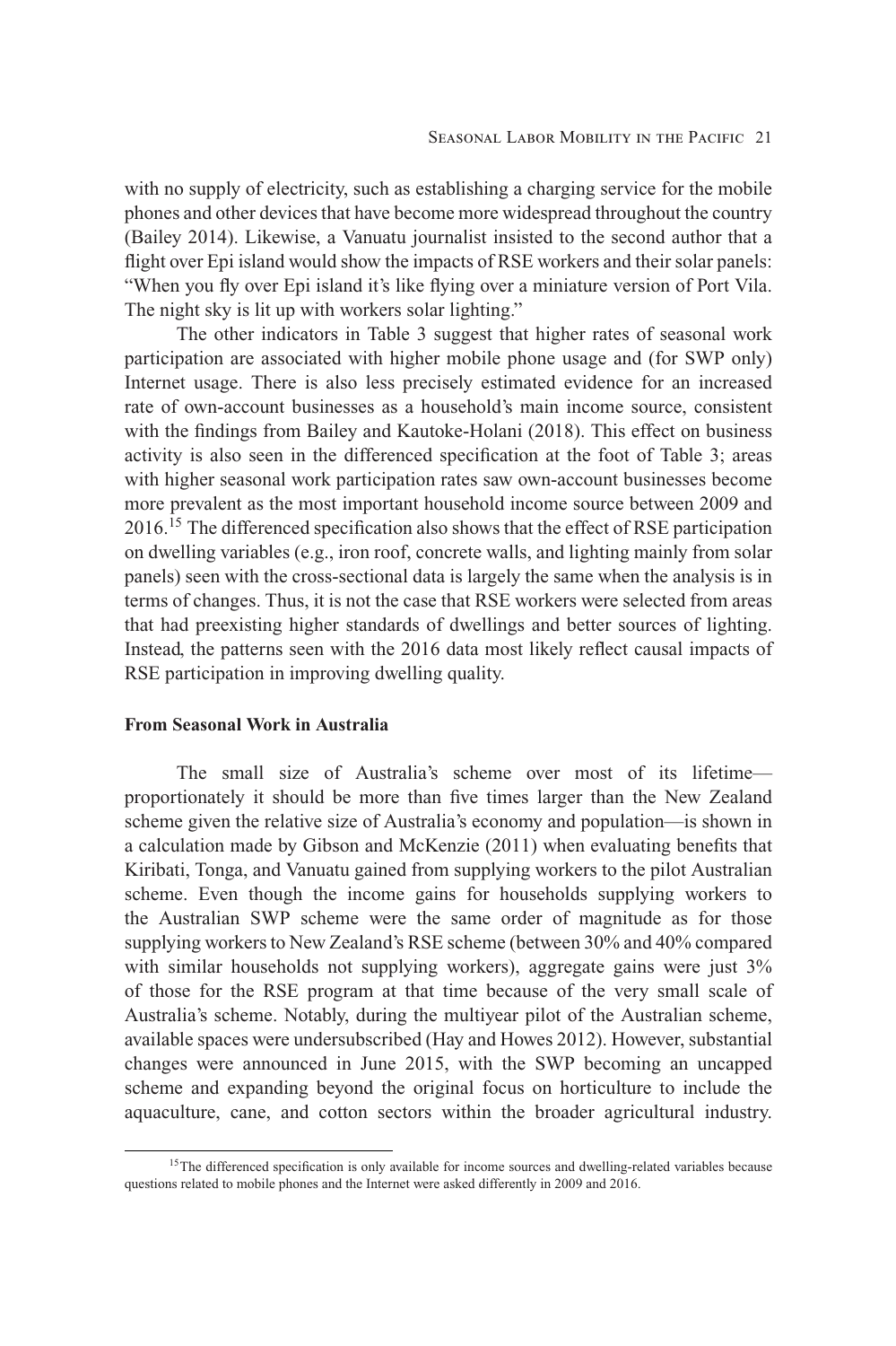with no supply of electricity, such as establishing a charging service for the mobile phones and other devices that have become more widespread throughout the country (Bailey 2014). Likewise, a Vanuatu journalist insisted to the second author that a flight over Epi island would show the impacts of RSE workers and their solar panels: "When you fly over Epi island it's like flying over a miniature version of Port Vila. The night sky is lit up with workers solar lighting."

The other indicators in Table 3 suggest that higher rates of seasonal work participation are associated with higher mobile phone usage and (for SWP only) Internet usage. There is also less precisely estimated evidence for an increased rate of own-account businesses as a household's main income source, consistent with the findings from Bailey and Kautoke-Holani (2018). This effect on business activity is also seen in the differenced specification at the foot of Table 3; areas with higher seasonal work participation rates saw own-account businesses become more prevalent as the most important household income source between 2009 and 2016.<sup>15</sup> The differenced specification also shows that the effect of RSE participation on dwelling variables (e.g., iron roof, concrete walls, and lighting mainly from solar panels) seen with the cross-sectional data is largely the same when the analysis is in terms of changes. Thus, it is not the case that RSE workers were selected from areas that had preexisting higher standards of dwellings and better sources of lighting. Instead, the patterns seen with the 2016 data most likely reflect causal impacts of RSE participation in improving dwelling quality.

## **From Seasonal Work in Australia**

The small size of Australia's scheme over most of its lifetime proportionately it should be more than five times larger than the New Zealand scheme given the relative size of Australia's economy and population—is shown in a calculation made by Gibson and McKenzie (2011) when evaluating benefits that Kiribati, Tonga, and Vanuatu gained from supplying workers to the pilot Australian scheme. Even though the income gains for households supplying workers to the Australian SWP scheme were the same order of magnitude as for those supplying workers to New Zealand's RSE scheme (between 30% and 40% compared with similar households not supplying workers), aggregate gains were just  $3\%$ of those for the RSE program at that time because of the very small scale of Australia's scheme. Notably, during the multiyear pilot of the Australian scheme, available spaces were undersubscribed (Hay and Howes 2012). However, substantial changes were announced in June 2015, with the SWP becoming an uncapped scheme and expanding beyond the original focus on horticulture to include the aquaculture, cane, and cotton sectors within the broader agricultural industry.

<sup>&</sup>lt;sup>15</sup>The differenced specification is only available for income sources and dwelling-related variables because questions related to mobile phones and the Internet were asked differently in 2009 and 2016.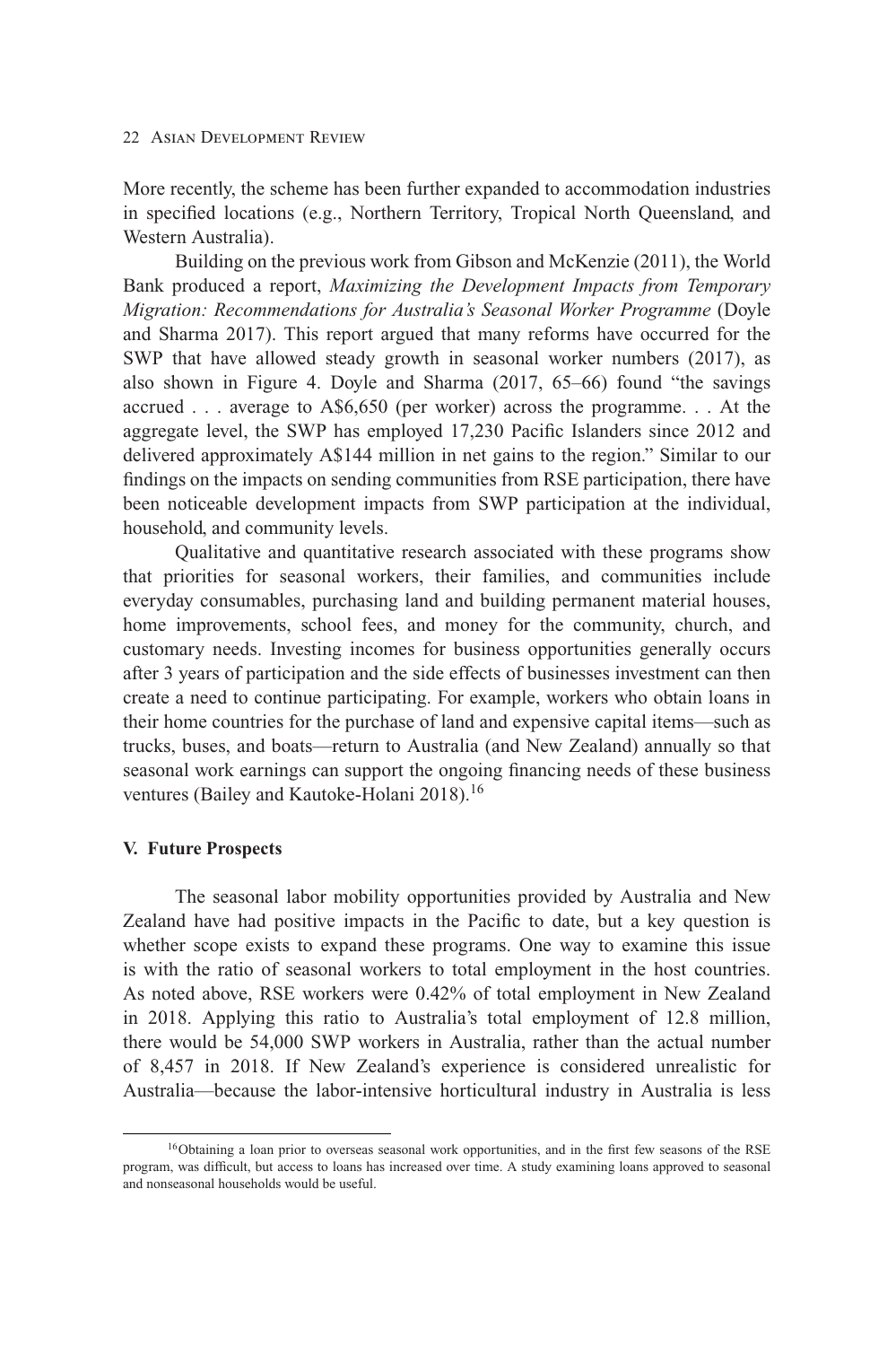More recently, the scheme has been further expanded to accommodation industries in specified locations (e.g., Northern Territory, Tropical North Queensland, and Western Australia).

Building on the previous work from Gibson and McKenzie (2011), the World Bank produced a report, *Maximizing the Development Impacts from Temporary Migration: Recommendations for Australia's Seasonal Worker Programme* (Doyle and Sharma 2017). This report argued that many reforms have occurred for the SWP that have allowed steady growth in seasonal worker numbers (2017), as also shown in Figure 4. Doyle and Sharma (2017, 65–66) found "the savings accrued . . . average to A\$6,650 (per worker) across the programme. . . At the aggregate level, the SWP has employed 17,230 Pacific Islanders since 2012 and delivered approximately A\$144 million in net gains to the region." Similar to our findings on the impacts on sending communities from RSE participation, there have been noticeable development impacts from SWP participation at the individual, household, and community levels.

Qualitative and quantitative research associated with these programs show that priorities for seasonal workers, their families, and communities include everyday consumables, purchasing land and building permanent material houses, home improvements, school fees, and money for the community, church, and customary needs. Investing incomes for business opportunities generally occurs after 3 years of participation and the side effects of businesses investment can then create a need to continue participating. For example, workers who obtain loans in their home countries for the purchase of land and expensive capital items—such as trucks, buses, and boats—return to Australia (and New Zealand) annually so that seasonal work earnings can support the ongoing financing needs of these business ventures (Bailey and Kautoke-Holani 2018).<sup>16</sup>

#### **V. Future Prospects**

The seasonal labor mobility opportunities provided by Australia and New Zealand have had positive impacts in the Pacific to date, but a key question is whether scope exists to expand these programs. One way to examine this issue is with the ratio of seasonal workers to total employment in the host countries. As noted above, RSE workers were 0.42% of total employment in New Zealand in 2018. Applying this ratio to Australia's total employment of 12.8 million, there would be 54,000 SWP workers in Australia, rather than the actual number of 8,457 in 2018. If New Zealand's experience is considered unrealistic for Australia—because the labor-intensive horticultural industry in Australia is less

<sup>16</sup>Obtaining a loan prior to overseas seasonal work opportunities, and in the first few seasons of the RSE program, was difficult, but access to loans has increased over time. A study examining loans approved to seasonal and nonseasonal households would be useful.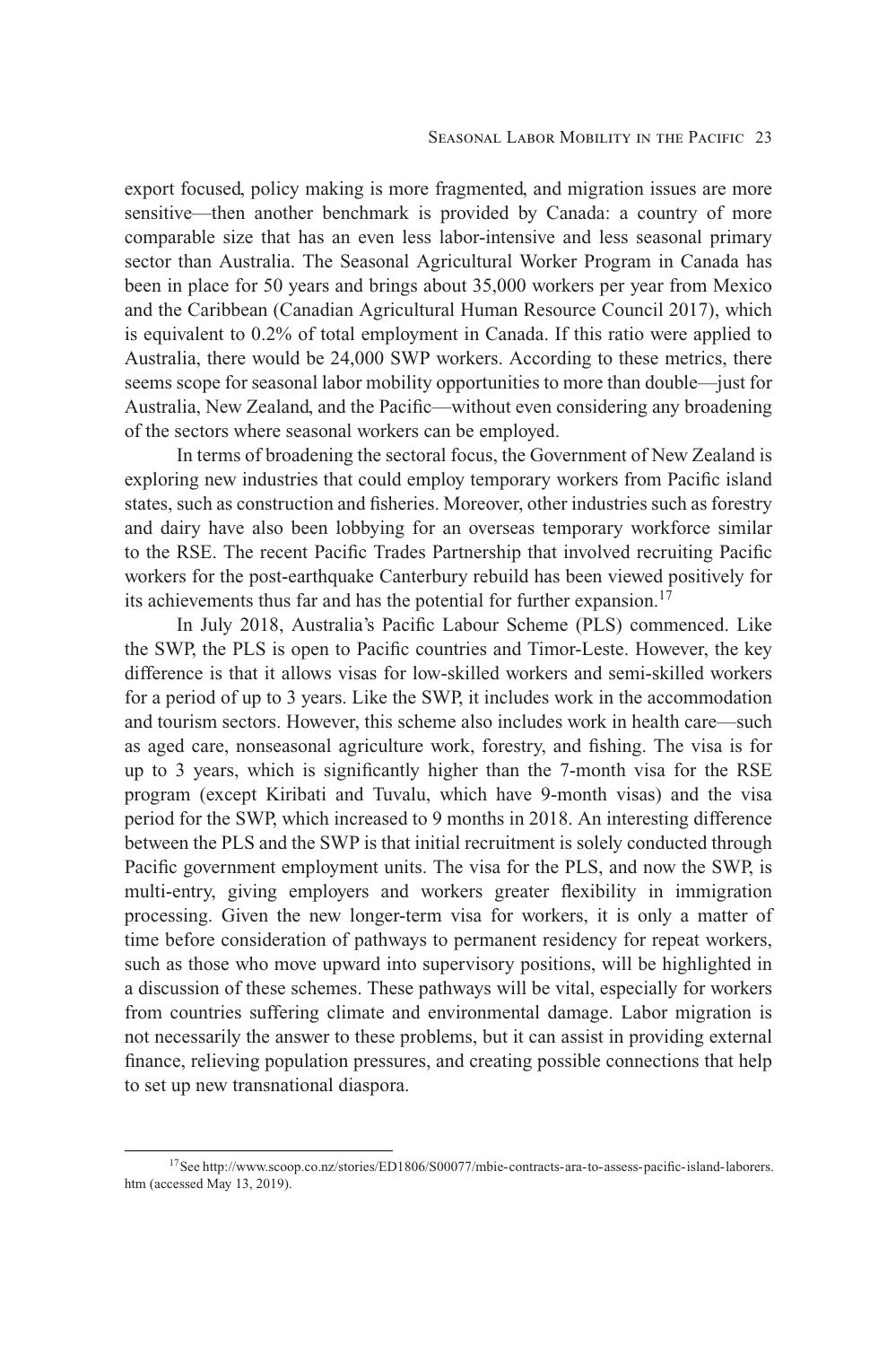export focused, policy making is more fragmented, and migration issues are more sensitive—then another benchmark is provided by Canada: a country of more comparable size that has an even less labor-intensive and less seasonal primary sector than Australia. The Seasonal Agricultural Worker Program in Canada has been in place for 50 years and brings about 35,000 workers per year from Mexico and the Caribbean (Canadian Agricultural Human Resource Council 2017), which is equivalent to 0.2% of total employment in Canada. If this ratio were applied to Australia, there would be 24,000 SWP workers. According to these metrics, there seems scope for seasonal labor mobility opportunities to more than double—just for Australia, New Zealand, and the Pacific—without even considering any broadening of the sectors where seasonal workers can be employed.

In terms of broadening the sectoral focus, the Government of New Zealand is exploring new industries that could employ temporary workers from Pacific island states, such as construction and fisheries. Moreover, other industries such as forestry and dairy have also been lobbying for an overseas temporary workforce similar to the RSE. The recent Pacific Trades Partnership that involved recruiting Pacific workers for the post-earthquake Canterbury rebuild has been viewed positively for its achievements thus far and has the potential for further expansion.<sup>17</sup>

In July 2018, Australia's Pacific Labour Scheme (PLS) commenced. Like the SWP, the PLS is open to Pacific countries and Timor-Leste. However, the key difference is that it allows visas for low-skilled workers and semi-skilled workers for a period of up to 3 years. Like the SWP, it includes work in the accommodation and tourism sectors. However, this scheme also includes work in health care—such as aged care, nonseasonal agriculture work, forestry, and fishing. The visa is for up to 3 years, which is significantly higher than the 7-month visa for the RSE program (except Kiribati and Tuvalu, which have 9-month visas) and the visa period for the SWP, which increased to 9 months in 2018. An interesting difference between the PLS and the SWP is that initial recruitment is solely conducted through Pacific government employment units. The visa for the PLS, and now the SWP, is multi-entry, giving employers and workers greater flexibility in immigration processing. Given the new longer-term visa for workers, it is only a matter of time before consideration of pathways to permanent residency for repeat workers, such as those who move upward into supervisory positions, will be highlighted in a discussion of these schemes. These pathways will be vital, especially for workers from countries suffering climate and environmental damage. Labor migration is not necessarily the answer to these problems, but it can assist in providing external finance, relieving population pressures, and creating possible connections that help to set up new transnational diaspora.

[<sup>17</sup>See http://www.scoop.co.nz/stories/ED1806/S00077/mbie-contracts-ara-to-assess-pacific-island-laborers.](http://www.scoop.co.nz/stories/ED1806/S00077/mbie-contracts-ara-to-assess-pacific-island-laborers.htm) htm (accessed May 13, 2019).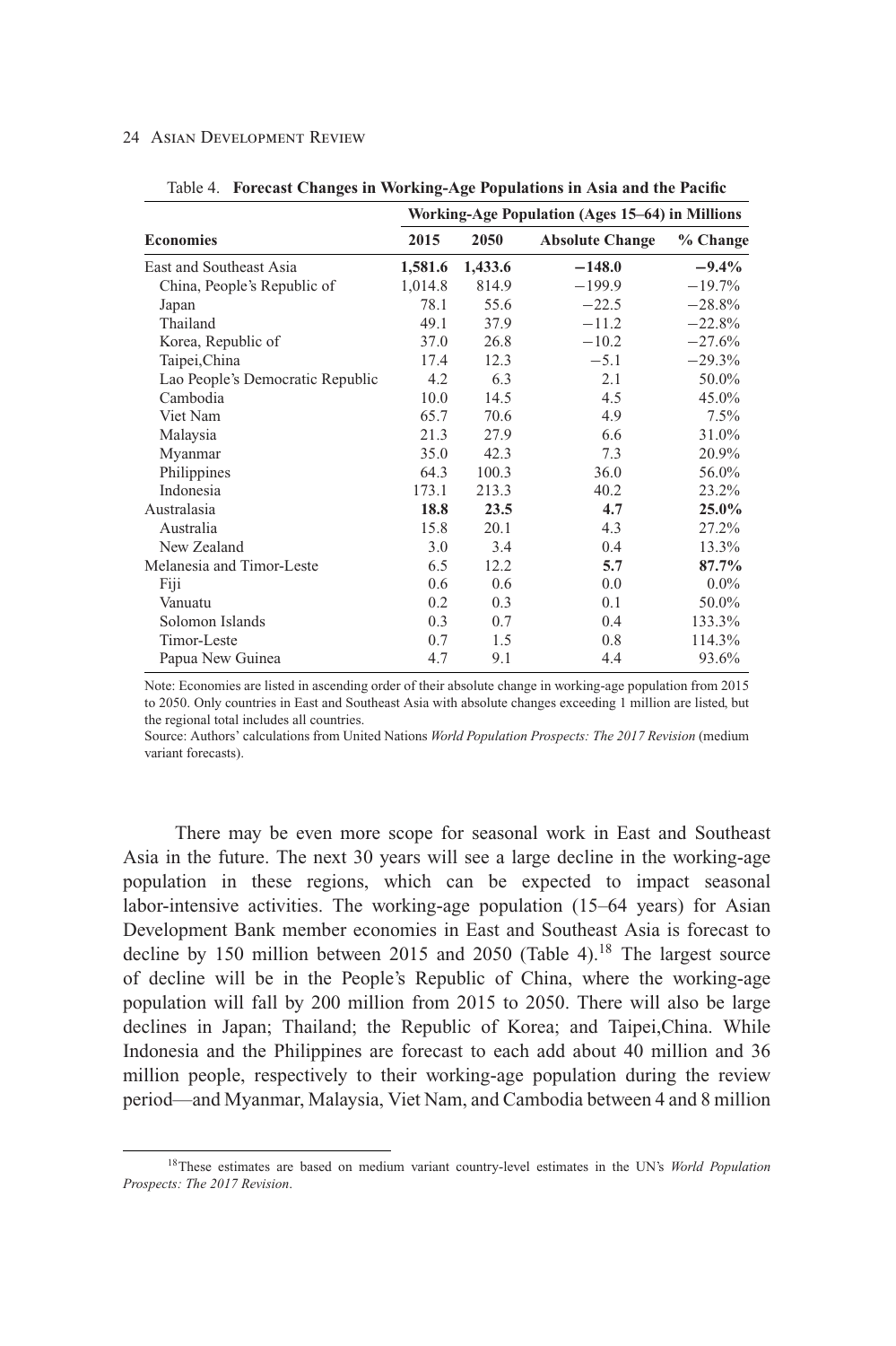|                                  | Working-Age Population (Ages 15–64) in Millions |         |                        |          |  |  |
|----------------------------------|-------------------------------------------------|---------|------------------------|----------|--|--|
| <b>Economies</b>                 | 2015                                            | 2050    | <b>Absolute Change</b> | % Change |  |  |
| East and Southeast Asia          | 1,581.6                                         | 1,433.6 | $-148.0$               | $-9.4\%$ |  |  |
| China, People's Republic of      | 1,014.8                                         | 814.9   | $-199.9$               | $-19.7%$ |  |  |
| Japan                            | 78.1                                            | 55.6    | $-22.5$                | $-28.8%$ |  |  |
| Thailand                         | 49.1                                            | 37.9    | $-11.2$                | $-22.8%$ |  |  |
| Korea, Republic of               | 37.0                                            | 26.8    | $-10.2$                | $-27.6%$ |  |  |
| Taipei, China                    | 17.4                                            | 12.3    | $-5.1$                 | $-29.3%$ |  |  |
| Lao People's Democratic Republic | 4.2                                             | 6.3     | 2.1                    | 50.0%    |  |  |
| Cambodia                         | 10.0                                            | 14.5    | 4.5                    | 45.0%    |  |  |
| Viet Nam                         | 65.7                                            | 70.6    | 4.9                    | $7.5\%$  |  |  |
| Malaysia                         | 21.3                                            | 27.9    | 6.6                    | 31.0%    |  |  |
| Myanmar                          | 35.0                                            | 42.3    | 7.3                    | 20.9%    |  |  |
| Philippines                      | 64.3                                            | 100.3   | 36.0                   | 56.0%    |  |  |
| Indonesia                        | 173.1                                           | 213.3   | 40.2                   | 23.2%    |  |  |
| Australasia                      | 18.8                                            | 23.5    | 4.7                    | 25.0%    |  |  |
| Australia                        | 15.8                                            | 20.1    | 4.3                    | 27.2%    |  |  |
| New Zealand                      | 3.0                                             | 3.4     | 0.4                    | 13.3%    |  |  |
| Melanesia and Timor-Leste        | 6.5                                             | 12.2    | 5.7                    | 87.7%    |  |  |
| Fiji                             | 0.6                                             | 0.6     | 0.0                    | $0.0\%$  |  |  |
| Vanuatu                          | 0.2                                             | 0.3     | 0.1                    | 50.0%    |  |  |
| Solomon Islands                  | 0.3                                             | 0.7     | 0.4                    | 133.3%   |  |  |
| Timor-Leste                      | 0.7                                             | 1.5     | 0.8                    | 114.3%   |  |  |
| Papua New Guinea                 | 4.7                                             | 9.1     | 4.4                    | 93.6%    |  |  |

Table 4. **Forecast Changes in Working-Age Populations in Asia and the Pacific**

Note: Economies are listed in ascending order of their absolute change in working-age population from 2015 to 2050. Only countries in East and Southeast Asia with absolute changes exceeding 1 million are listed, but the regional total includes all countries.

Source: Authors' calculations from United Nations *World Population Prospects: The 2017 Revision* (medium variant forecasts).

There may be even more scope for seasonal work in East and Southeast Asia in the future. The next 30 years will see a large decline in the working-age population in these regions, which can be expected to impact seasonal labor-intensive activities. The working-age population (15–64 years) for Asian Development Bank member economies in East and Southeast Asia is forecast to decline by 150 million between 2015 and 2050 (Table 4).<sup>18</sup> The largest source of decline will be in the People's Republic of China, where the working-age population will fall by 200 million from 2015 to 2050. There will also be large declines in Japan; Thailand; the Republic of Korea; and Taipei,China. While Indonesia and the Philippines are forecast to each add about 40 million and 36 million people, respectively to their working-age population during the review period—and Myanmar, Malaysia, Viet Nam, and Cambodia between 4 and 8 million

<sup>18</sup>These estimates are based on medium variant country-level estimates in the UN's *World Population Prospects: The 2017 Revision*.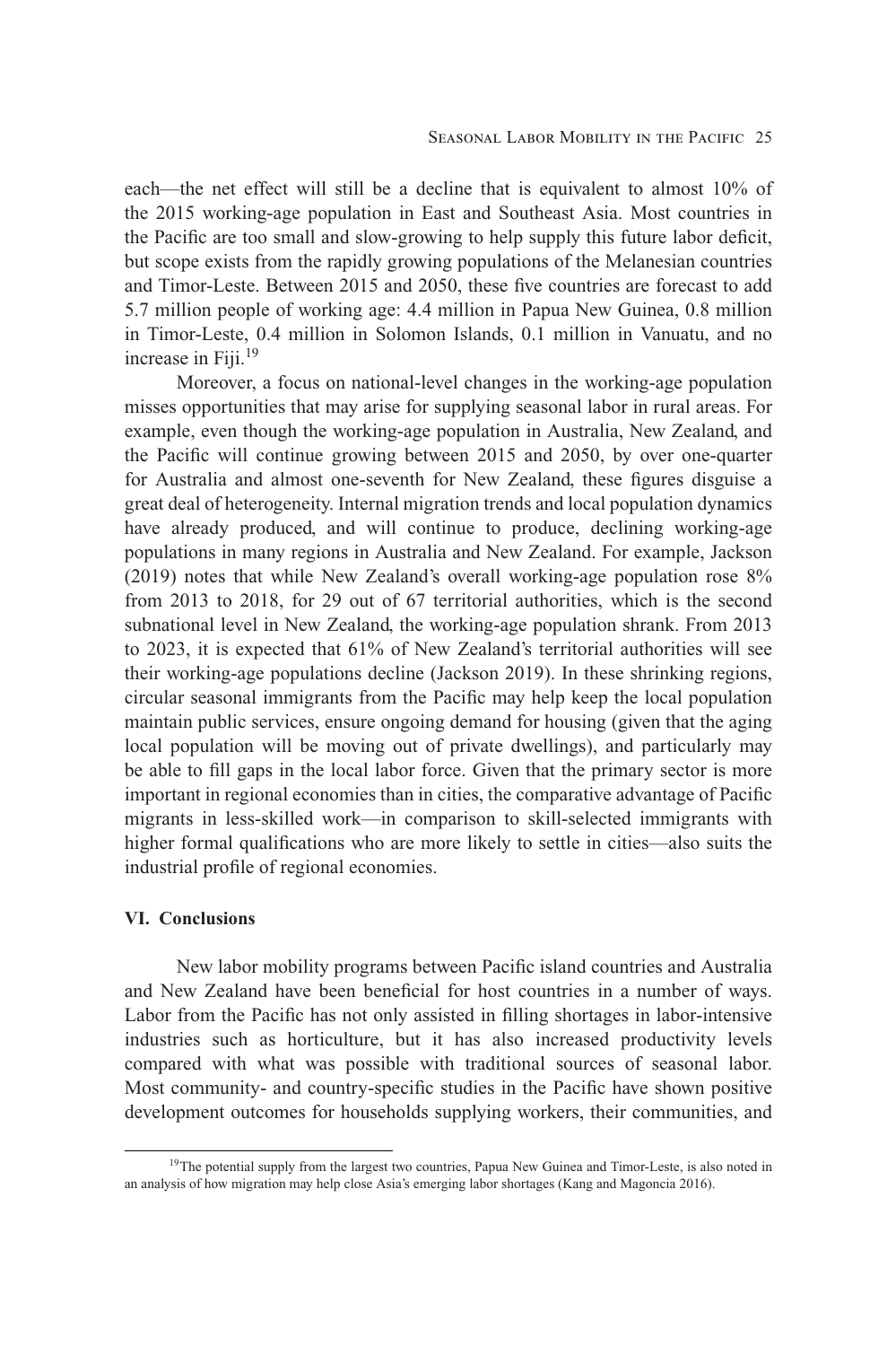each—the net effect will still be a decline that is equivalent to almost 10% of the 2015 working-age population in East and Southeast Asia. Most countries in the Pacific are too small and slow-growing to help supply this future labor deficit, but scope exists from the rapidly growing populations of the Melanesian countries and Timor-Leste. Between 2015 and 2050, these five countries are forecast to add 5.7 million people of working age: 4.4 million in Papua New Guinea, 0.8 million in Timor-Leste, 0.4 million in Solomon Islands, 0.1 million in Vanuatu, and no increase in Fiii. $19$ 

Moreover, a focus on national-level changes in the working-age population misses opportunities that may arise for supplying seasonal labor in rural areas. For example, even though the working-age population in Australia, New Zealand, and the Pacific will continue growing between 2015 and 2050, by over one-quarter for Australia and almost one-seventh for New Zealand, these figures disguise a great deal of heterogeneity. Internal migration trends and local population dynamics have already produced, and will continue to produce, declining working-age populations in many regions in Australia and New Zealand. For example, Jackson (2019) notes that while New Zealand's overall working-age population rose 8% from 2013 to 2018, for 29 out of 67 territorial authorities, which is the second subnational level in New Zealand, the working-age population shrank. From 2013 to 2023, it is expected that 61% of New Zealand's territorial authorities will see their working-age populations decline (Jackson 2019). In these shrinking regions, circular seasonal immigrants from the Pacific may help keep the local population maintain public services, ensure ongoing demand for housing (given that the aging local population will be moving out of private dwellings), and particularly may be able to fill gaps in the local labor force. Given that the primary sector is more important in regional economies than in cities, the comparative advantage of Pacific migrants in less-skilled work—in comparison to skill-selected immigrants with higher formal qualifications who are more likely to settle in cities—also suits the industrial profile of regional economies.

# **VI. Conclusions**

New labor mobility programs between Pacific island countries and Australia and New Zealand have been beneficial for host countries in a number of ways. Labor from the Pacific has not only assisted in filling shortages in labor-intensive industries such as horticulture, but it has also increased productivity levels compared with what was possible with traditional sources of seasonal labor. Most community- and country-specific studies in the Pacific have shown positive development outcomes for households supplying workers, their communities, and

<sup>&</sup>lt;sup>19</sup>The potential supply from the largest two countries, Papua New Guinea and Timor-Leste, is also noted in an analysis of how migration may help close Asia's emerging labor shortages (Kang and Magoncia 2016).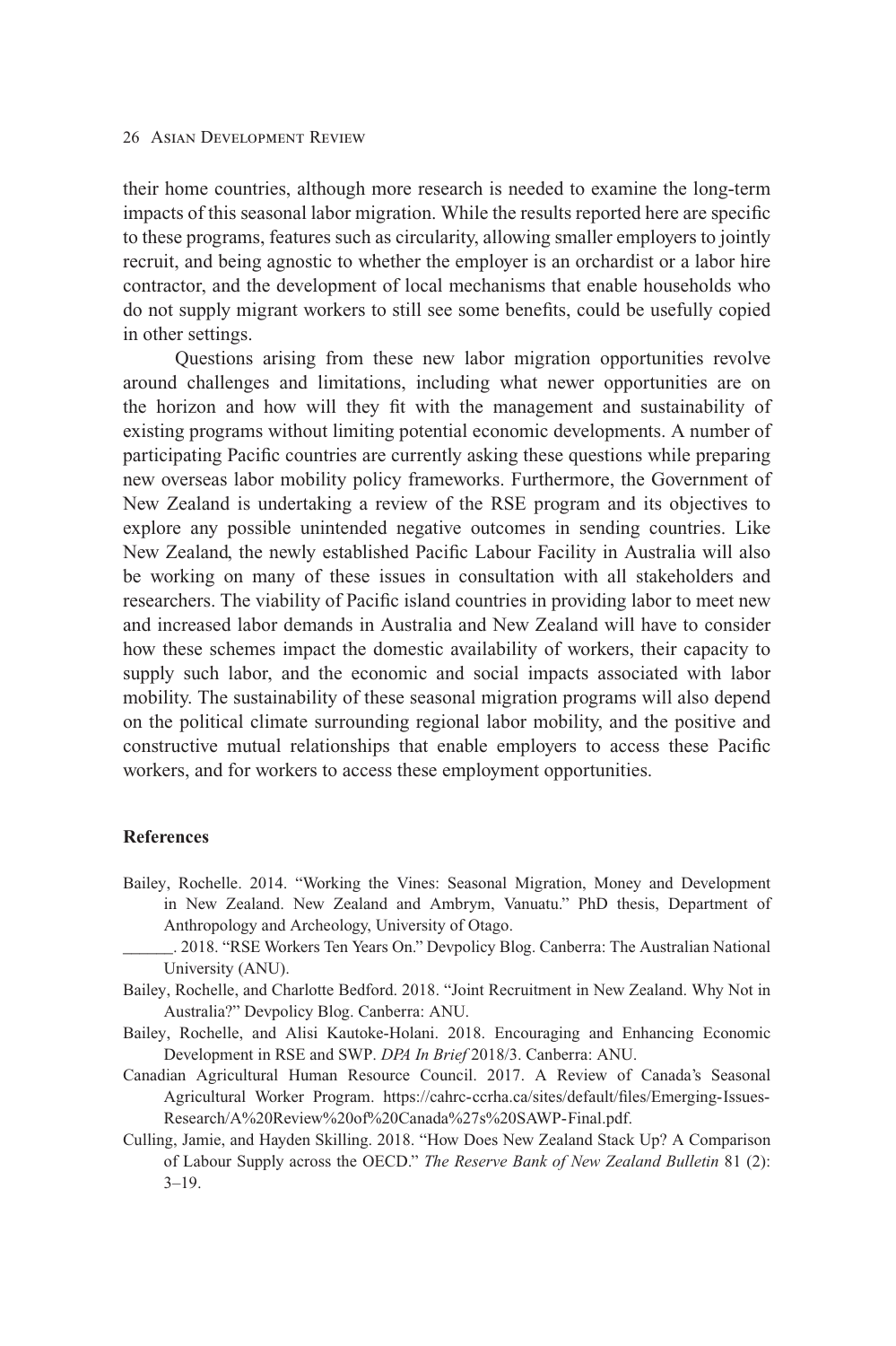their home countries, although more research is needed to examine the long-term impacts of this seasonal labor migration. While the results reported here are specific to these programs, features such as circularity, allowing smaller employers to jointly recruit, and being agnostic to whether the employer is an orchardist or a labor hire contractor, and the development of local mechanisms that enable households who do not supply migrant workers to still see some benefits, could be usefully copied in other settings.

Questions arising from these new labor migration opportunities revolve around challenges and limitations, including what newer opportunities are on the horizon and how will they fit with the management and sustainability of existing programs without limiting potential economic developments. A number of participating Pacific countries are currently asking these questions while preparing new overseas labor mobility policy frameworks. Furthermore, the Government of New Zealand is undertaking a review of the RSE program and its objectives to explore any possible unintended negative outcomes in sending countries. Like New Zealand, the newly established Pacific Labour Facility in Australia will also be working on many of these issues in consultation with all stakeholders and researchers. The viability of Pacific island countries in providing labor to meet new and increased labor demands in Australia and New Zealand will have to consider how these schemes impact the domestic availability of workers, their capacity to supply such labor, and the economic and social impacts associated with labor mobility. The sustainability of these seasonal migration programs will also depend on the political climate surrounding regional labor mobility, and the positive and constructive mutual relationships that enable employers to access these Pacific workers, and for workers to access these employment opportunities.

## **References**

- Bailey, Rochelle. 2014. "Working the Vines: Seasonal Migration, Money and Development in New Zealand. New Zealand and Ambrym, Vanuatu." PhD thesis, Department of Anthropology and Archeology, University of Otago.
	- \_\_\_\_\_\_. 2018. "RSE Workers Ten Years On." Devpolicy Blog. Canberra: The Australian National University (ANU).
- Bailey, Rochelle, and Charlotte Bedford. 2018. "Joint Recruitment in New Zealand. Why Not in Australia?" Devpolicy Blog. Canberra: ANU.
- Bailey, Rochelle, and Alisi Kautoke-Holani. 2018. Encouraging and Enhancing Economic Development in RSE and SWP. *DPA In Brief* 2018/3. Canberra: ANU.
- Canadian Agricultural Human Resource Council. 2017. A Review of Canada's Seasonal [Agricultural Worker Program. https://cahrc-ccrha.ca/sites/default/files/Emerging-Issues-](https://cahrc-ccrha.ca/sites/default/files/Emerging-Issues-Research/A%20Review%20of%20Canada%27s%20SAWP-Final.pdf)Research/A%20Review%20of%20Canada%27s%20SAWP-Final.pdf.
- Culling, Jamie, and Hayden Skilling. 2018. "How Does New Zealand Stack Up? A Comparison of Labour Supply across the OECD." *The Reserve Bank of New Zealand Bulletin* 81 (2):  $3 - 19$ .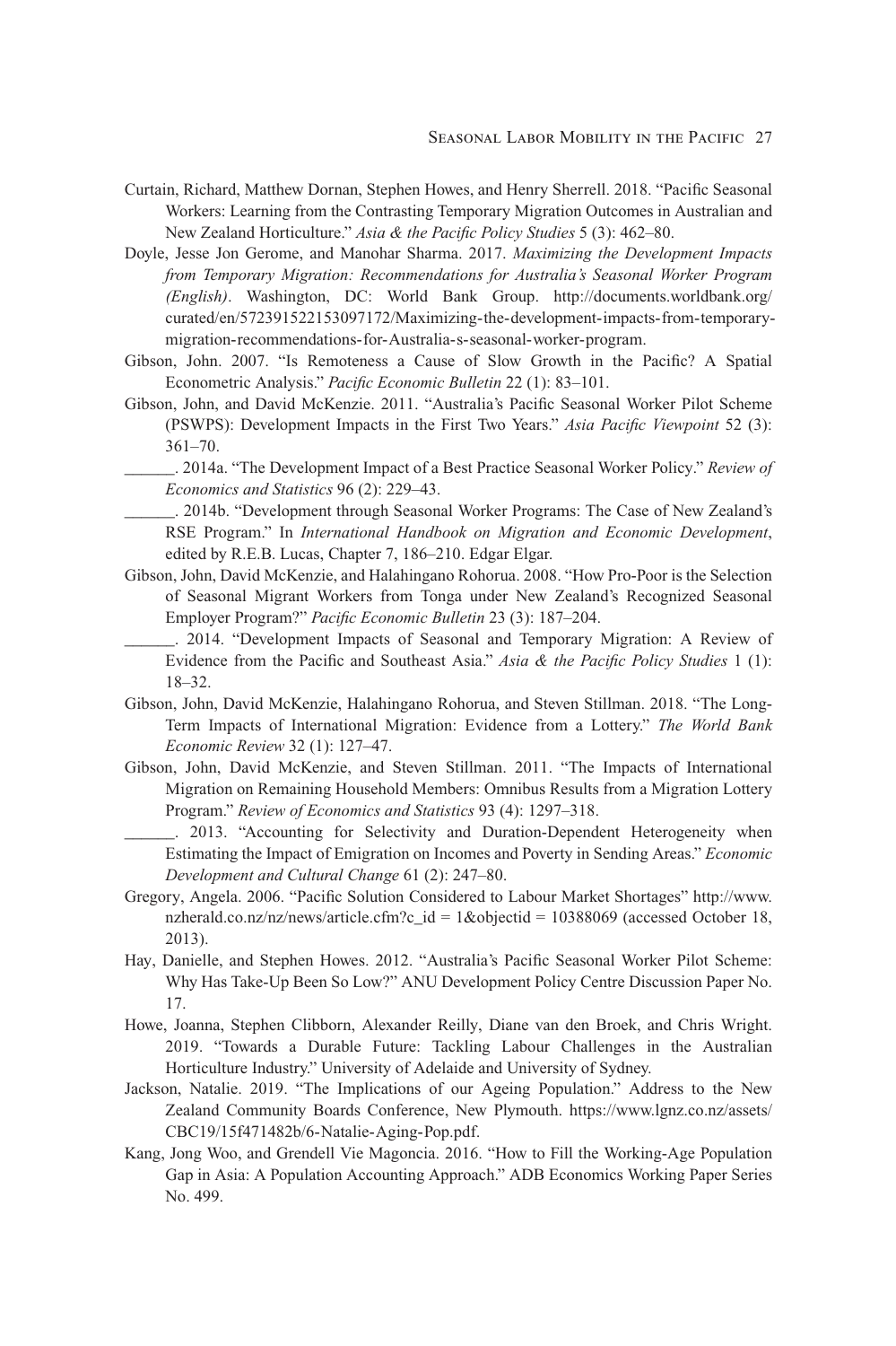- Curtain, Richard, Matthew Dornan, Stephen Howes, and Henry Sherrell. 2018. "Pacific Seasonal Workers: Learning from the Contrasting Temporary Migration Outcomes in Australian and New Zealand Horticulture." *Asia & the Pacific Policy Studies* 5 (3): 462–80.
- Doyle, Jesse Jon Gerome, and Manohar Sharma. 2017. *Maximizing the Development Impacts from Temporary Migration: Recommendations for Australia's Seasonal Worker Program (English)*. Washington, DC: World Bank Group. http://documents.worldbank.org/ [curated/en/572391522153097172/Maximizing-the-development-impacts-from-temporary](http://documents.worldbank.org/curated/en/572391522153097172/Maximizing-the-development-impacts-from-temporary-migration-recommendations-for-Australia-s-seasonal-worker-program)migration-recommendations-for-Australia-s-seasonal-worker-program.
- Gibson, John. 2007. "Is Remoteness a Cause of Slow Growth in the Pacific? A Spatial Econometric Analysis." *Pacific Economic Bulletin* 22 (1): 83–101.
- Gibson, John, and David McKenzie. 2011. "Australia's Pacific Seasonal Worker Pilot Scheme (PSWPS): Development Impacts in the First Two Years." *Asia Pacific Viewpoint* 52 (3): 361–70.
	- \_\_\_\_\_\_. 2014a. "The Development Impact of a Best Practice Seasonal Worker Policy." *Review of Economics and Statistics* 96 (2): 229–43.
	- \_\_\_\_\_\_. 2014b. "Development through Seasonal Worker Programs: The Case of New Zealand's RSE Program." In *International Handbook on Migration and Economic Development*, edited by R.E.B. Lucas, Chapter 7, 186–210. Edgar Elgar.
- Gibson, John, David McKenzie, and Halahingano Rohorua. 2008. "How Pro-Poor is the Selection of Seasonal Migrant Workers from Tonga under New Zealand's Recognized Seasonal Employer Program?" *Pacific Economic Bulletin* 23 (3): 187–204.
- \_\_\_\_\_\_. 2014. "Development Impacts of Seasonal and Temporary Migration: A Review of Evidence from the Pacific and Southeast Asia." *Asia & the Pacific Policy Studies* 1 (1): 18–32.
- Gibson, John, David McKenzie, Halahingano Rohorua, and Steven Stillman. 2018. "The Long-Term Impacts of International Migration: Evidence from a Lottery." *The World Bank Economic Review* 32 (1): 127–47.
- Gibson, John, David McKenzie, and Steven Stillman. 2011. "The Impacts of International Migration on Remaining Household Members: Omnibus Results from a Migration Lottery Program." *Review of Economics and Statistics* 93 (4): 1297–318.
	- \_\_\_\_\_\_. 2013. "Accounting for Selectivity and Duration-Dependent Heterogeneity when Estimating the Impact of Emigration on Incomes and Poverty in Sending Areas." *Economic Development and Cultural Change* 61 (2): 247–80.
- Greg[ory, Angela. 2006. "Pacific Solution Considered to Labour Market Shortages" http://www.](http://www.nzherald.co.nz/nz/news/article.cfm?c_id = 1&objectid = 10388069) nzherald.co.nz/nz/news/article.cfm?c\_id = 1&objectid = 10388069 (accessed October 18, 2013).
- Hay, Danielle, and Stephen Howes. 2012. "Australia's Pacific Seasonal Worker Pilot Scheme: Why Has Take-Up Been So Low?" ANU Development Policy Centre Discussion Paper No. 17.
- Howe, Joanna, Stephen Clibborn, Alexander Reilly, Diane van den Broek, and Chris Wright. 2019. "Towards a Durable Future: Tackling Labour Challenges in the Australian Horticulture Industry." University of Adelaide and University of Sydney.
- Jackson, Natalie. 2019. "The Implications of our Ageing Population." Address to the New [Zealand Community Boards Conference, New Plymouth. https://www.lgnz.co.nz/assets/](https://www.lgnz.co.nz/assets/CBC19/15f471482b/6-Natalie-Aging-Pop.pdf) CBC19/15f471482b/6-Natalie-Aging-Pop.pdf.
- Kang, Jong Woo, and Grendell Vie Magoncia. 2016. "How to Fill the Working-Age Population Gap in Asia: A Population Accounting Approach." ADB Economics Working Paper Series No. 499.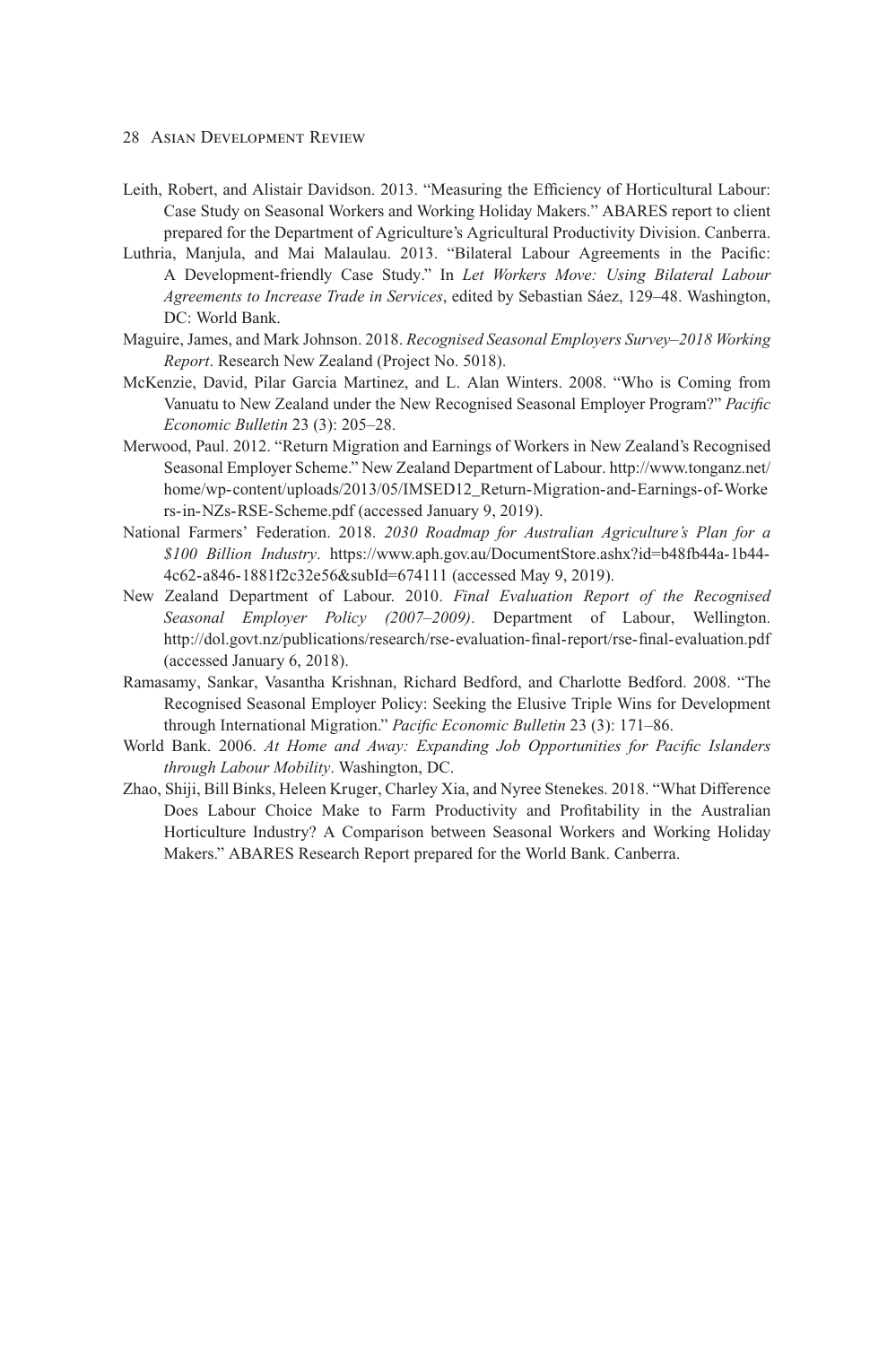- 28 Asian Development Review
- Leith, Robert, and Alistair Davidson. 2013. "Measuring the Efficiency of Horticultural Labour: Case Study on Seasonal Workers and Working Holiday Makers." ABARES report to client prepared for the Department of Agriculture's Agricultural Productivity Division. Canberra.
- Luthria, Manjula, and Mai Malaulau. 2013. "Bilateral Labour Agreements in the Pacific: A Development-friendly Case Study." In *Let Workers Move: Using Bilateral Labour Agreements to Increase Trade in Services*, edited by Sebastian Sáez, 129–48. Washington, DC: World Bank.
- Maguire, James, and Mark Johnson. 2018. *Recognised Seasonal Employers Survey–2018 Working Report*. Research New Zealand (Project No. 5018).
- McKenzie, David, Pilar Garcia Martinez, and L. Alan Winters. 2008. "Who is Coming from Vanuatu to New Zealand under the New Recognised Seasonal Employer Program?" *Pacific Economic Bulletin* 23 (3): 205–28.
- Merwood, Paul. 2012. "Return Migration and Earnings of Workers in New Zealand's Recognised [Seasonal Employer Scheme." New Zealand Department of Labour. http://www.tonganz.net/](http://www.tonganz.net/home/wp-content/uploads/2013/05/IMSED12_Return-Migration-and-Earnings-of-Workers-in-NZs-RSE-Scheme.pdf) home/wp-content/uploads/2013/05/IMSED12\_Return-Migration-and-Earnings-of-Worke rs-in-NZs-RSE-Scheme.pdf (accessed January 9, 2019).
- National Farmers' Federation. 2018. *2030 Roadmap for Australian Agriculture's Plan for a \$100 Billion Industry*[. https://www.aph.gov.au/DocumentStore.ashx?id=b48fb44a-1b44-](https://www.aph.gov.au/DocumentStore.ashx?id=b48fb44a-1b44-4c62-a846-1881f2c32e56&subId=674111) 4c62-a846-1881f2c32e56&subId=674111 (accessed May 9, 2019).
- New Zealand Department of Labour. 2010. *Final Evaluation Report of the Recognised Seasonal Employer Policy (2007–2009)*. Department of Labour, Wellington. <http://dol.govt.nz/publications/research/rse-evaluation-final-report/rse-final-evaluation.pdf> (accessed January 6, 2018).
- Ramasamy, Sankar, Vasantha Krishnan, Richard Bedford, and Charlotte Bedford. 2008. "The Recognised Seasonal Employer Policy: Seeking the Elusive Triple Wins for Development through International Migration." *Pacific Economic Bulletin* 23 (3): 171–86.
- World Bank. 2006. *At Home and Away: Expanding Job Opportunities for Pacific Islanders through Labour Mobility*. Washington, DC.
- Zhao, Shiji, Bill Binks, Heleen Kruger, Charley Xia, and Nyree Stenekes. 2018. "What Difference Does Labour Choice Make to Farm Productivity and Profitability in the Australian Horticulture Industry? A Comparison between Seasonal Workers and Working Holiday Makers." ABARES Research Report prepared for the World Bank. Canberra.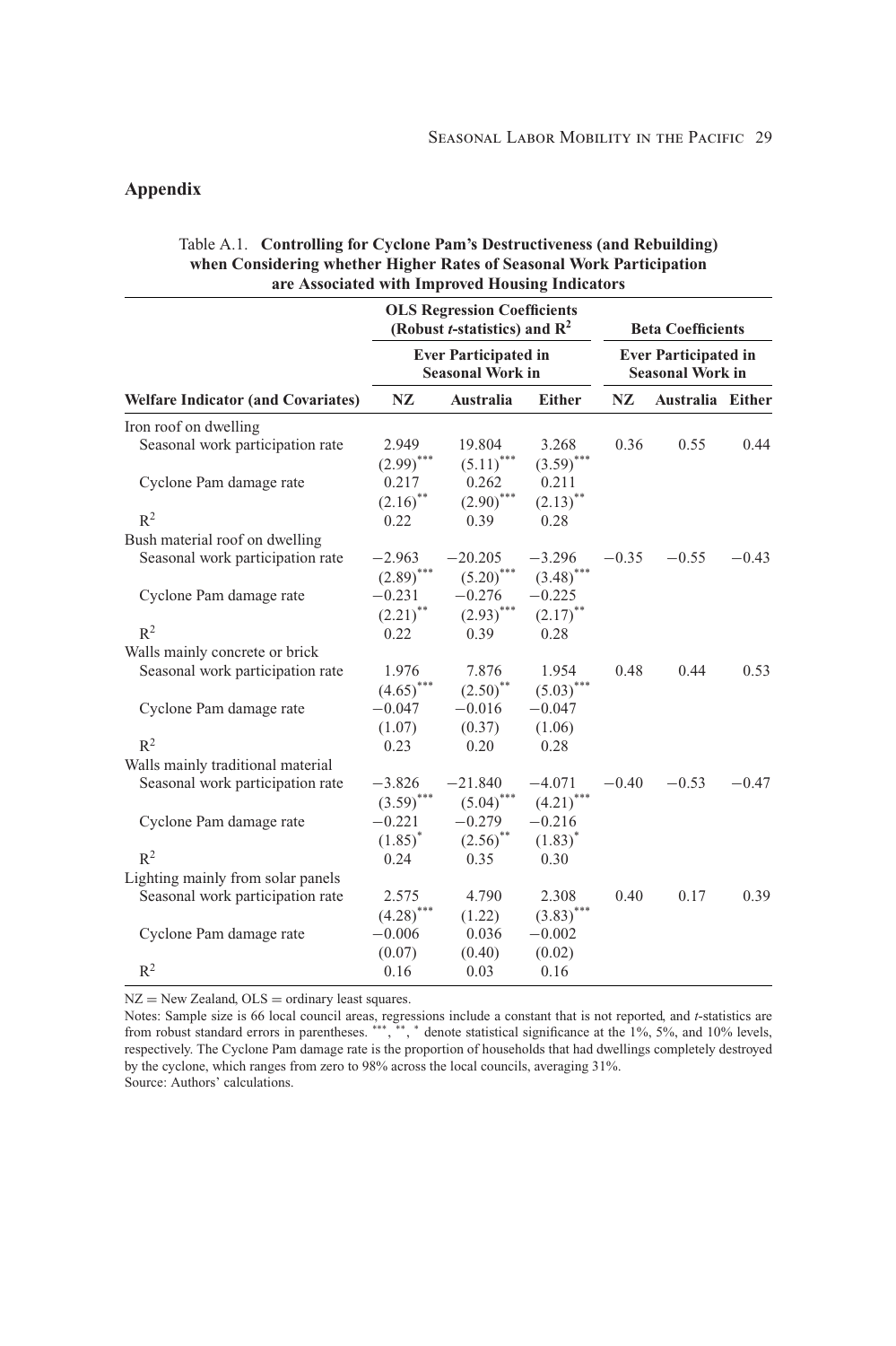# **Appendix**

## **OLS Regression Coefficients (Robust** *t***-statistics) and R2 Beta Coefficients Ever Participated in Ever Participated in Seasonal Work in Welfare Indicator (and Covariates) NZ Australia Either NZ Australia Either** Iron roof on dwelling Seasonal work participation rate 2.949 19.804 3.268 0.36 0.55 0.44  $(2.99)$ <sup>\*\*\*</sup>  $(5.11)$ <sup>\*\*\*</sup>  $(3.59)$ <sup>\*\*\*</sup> Cyclone Pam damage rate 0.217 0.262 0.211  $(2.16)$ <sup>\*\*</sup>  $(2.90)$ <sup>\*\*\*</sup>  $(2.13)$ <sup>\*</sup>  $R^2$  0.22 0.39 0.28 Bush material roof on dwelling Seasonal work participation rate  $-2.963$   $-20.205$   $-3.296$   $-0.35$   $-0.55$   $-0.43$ <br> $(2.89)^{***}$   $(5.20)^{***}$   $(3.48)^{***}$  $(2.89)$ <sup>\*</sup> Cyclone Pam damage rate  $-0.231 -0.276 -0.225$ <br>(2.21)<sup>\*\*</sup>  $(2.93)$ <sup>\*\*\*</sup>  $(2.17)$ <sup>\*</sup>  $(2.17)$ <sup>\*\*</sup>  $R^2$  0.22 0.39 0.28 Walls mainly concrete or brick Seasonal work participation rate 1.976 7.876 1.954 0.48 0.44 0.53  $(4.65)$ <sup>\*\*\*</sup>  $(2.50)$ <sup>\*\*</sup>  $(5.03)$ <sup>\*\*\*</sup> Cyclone Pam damage rate  $-0.047 -0.016 -0.047$ <br>(1.07)  $(0.37)$  (1.06)  $(1.07)$  $R^2$  0.23 0.20 0.28 Walls mainly traditional material Seasonal work participation rate  $-3.826$   $-21.840$   $-4.071$   $-0.40$   $-0.53$   $-0.47$ <br> $(3.59)^{***}$   $(5.04)^{***}$   $(4.21)^{***}$  $(5.04)^*$ Cyclone Pam damage rate  $-0.221 -0.279 -0.216$ <br> $(1.85)^*$   $(2.56)^{**}$   $(1.83)^*$  $(2.56)$ <sup>\*\*</sup>  $R^2$  0.24 0.35 0.30 Lighting mainly from solar panels Seasonal work participation rate 2.575 4.790 2.308 0.40 0.17 0.39  $(4.28)$ <sup>\*\*\*</sup>  $(1.22)$   $(3.83)$ <sup>\*</sup> Cyclone Pam damage rate  $-0.006$   $0.036$   $-0.002$ <br> $(0.07)$   $(0.40)$   $(0.02)$  $(0.40)$  $R^2$  0.16 0.03 0.16

## Table A.1. **Controlling for Cyclone Pam's Destructiveness (and Rebuilding) when Considering whether Higher Rates of Seasonal Work Participation are Associated with Improved Housing Indicators**

 $NZ = New Zealand, OLS = ordinary least squares.$ 

Notes: Sample size is 66 local council areas, regressions include a constant that is not reported, and *t*-statistics are<br>from robust standard errors in parentheses. \*\*\*, \*\*, \* denote statistical significance at the 1%, 5% respectively. The Cyclone Pam damage rate is the proportion of households that had dwellings completely destroyed by the cyclone, which ranges from zero to 98% across the local councils, averaging 31%. Source: Authors' calculations.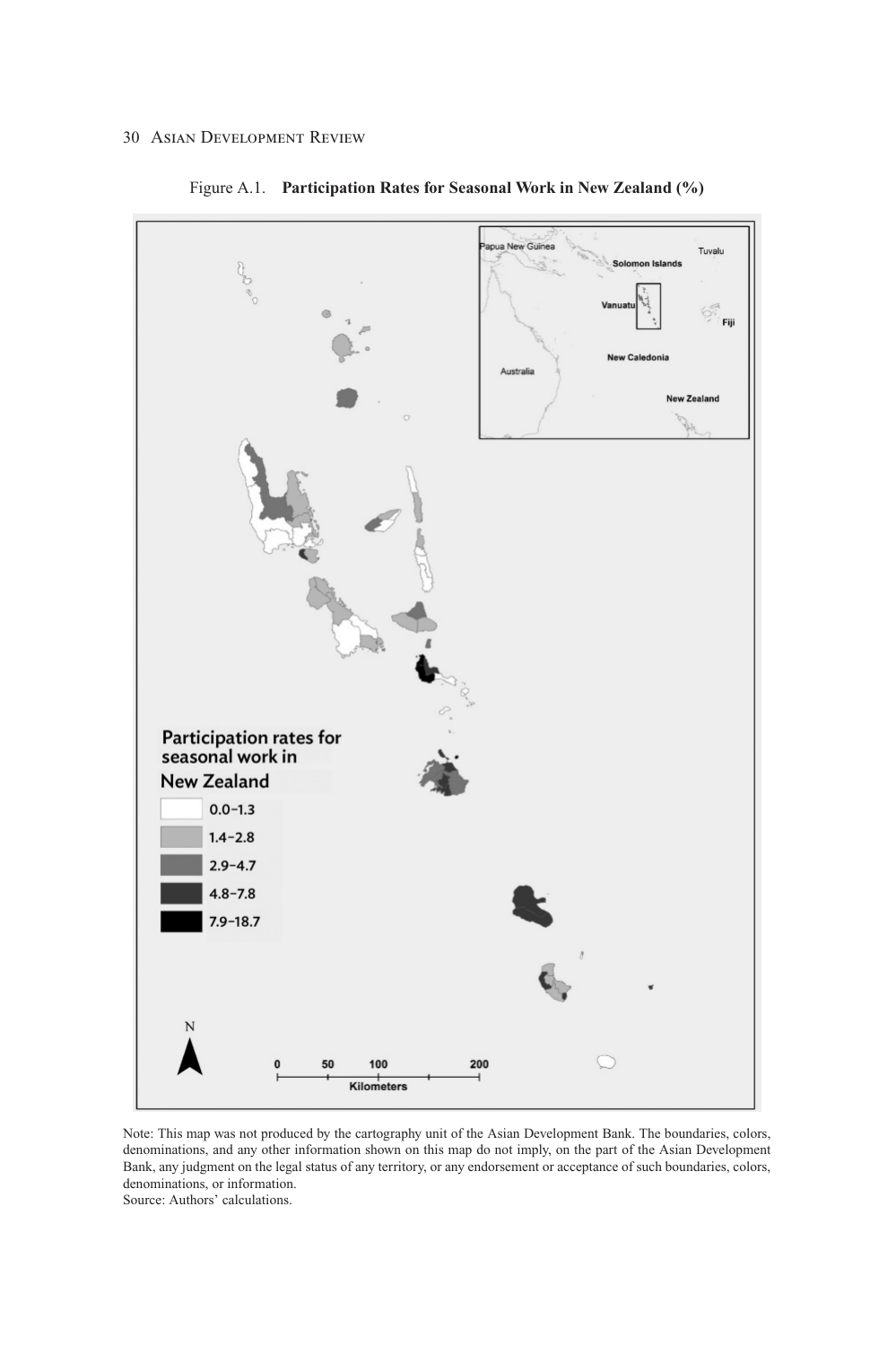

Figure A.1. **Participation Rates for Seasonal Work in New Zealand (%)**

Note: This map was not produced by the cartography unit of the Asian Development Bank. The boundaries, colors, denominations, and any other information shown on this map do not imply, on the part of the Asian Development Bank, any judgment on the legal status of any territory, or any endorsement or acceptance of such boundaries, colors, denominations, or information.

Source: Authors' calculations.